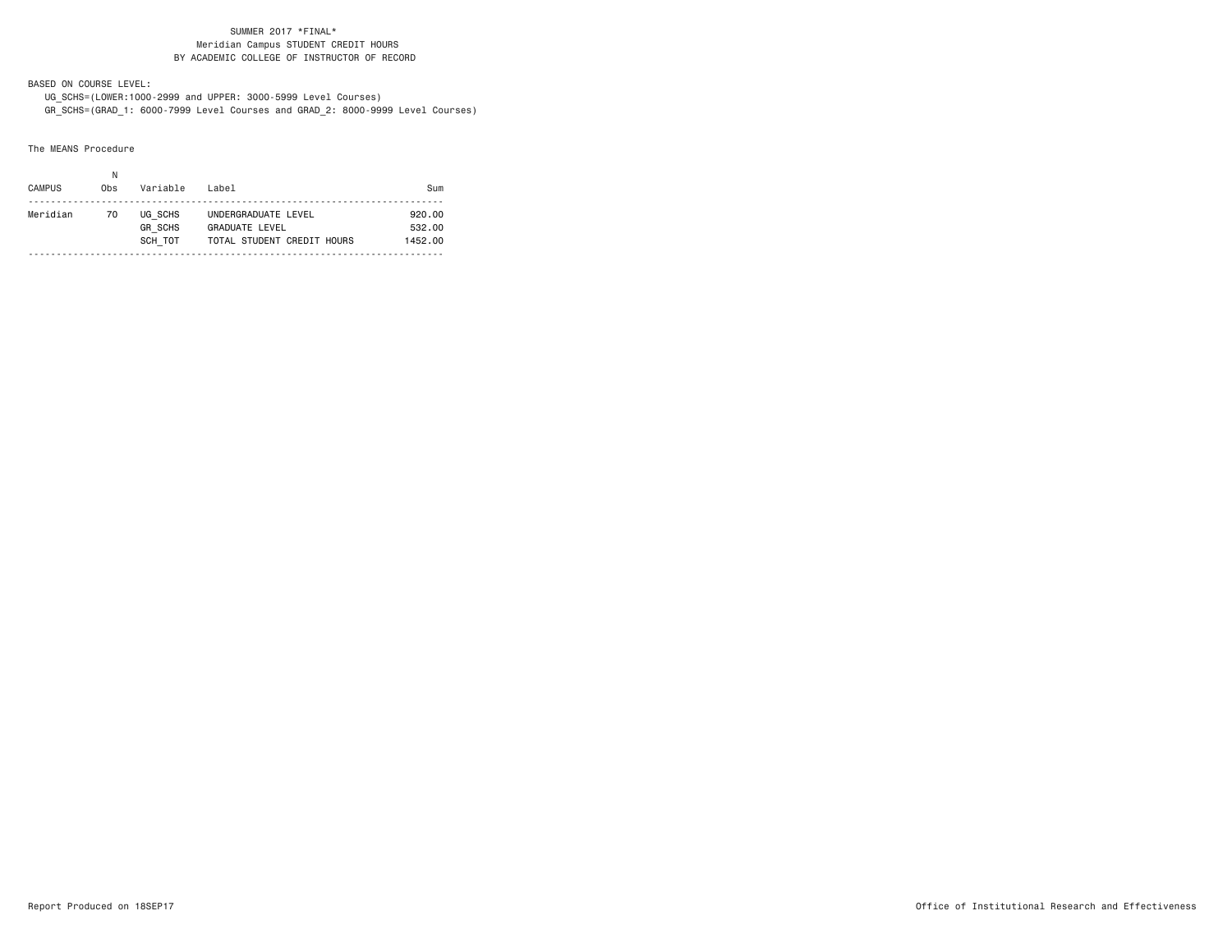BASED ON COURSE LEVEL:

 UG\_SCHS=(LOWER:1000-2999 and UPPER: 3000-5999 Level Courses) GR\_SCHS=(GRAD\_1: 6000-7999 Level Courses and GRAD\_2: 8000-9999 Level Courses)

The MEANS Procedure

| <b>CAMPUS</b> | 0bs | Variable                             | Label                                                                      | Sum                         |
|---------------|-----|--------------------------------------|----------------------------------------------------------------------------|-----------------------------|
| Meridian      | 70  | UG SCHS<br><b>GR SCHS</b><br>SCH TOT | UNDERGRADUATE LEVEL<br><b>GRADUATE LEVEL</b><br>TOTAL STUDENT CREDIT HOURS | 920.00<br>532.00<br>1452.00 |
|               |     |                                      |                                                                            |                             |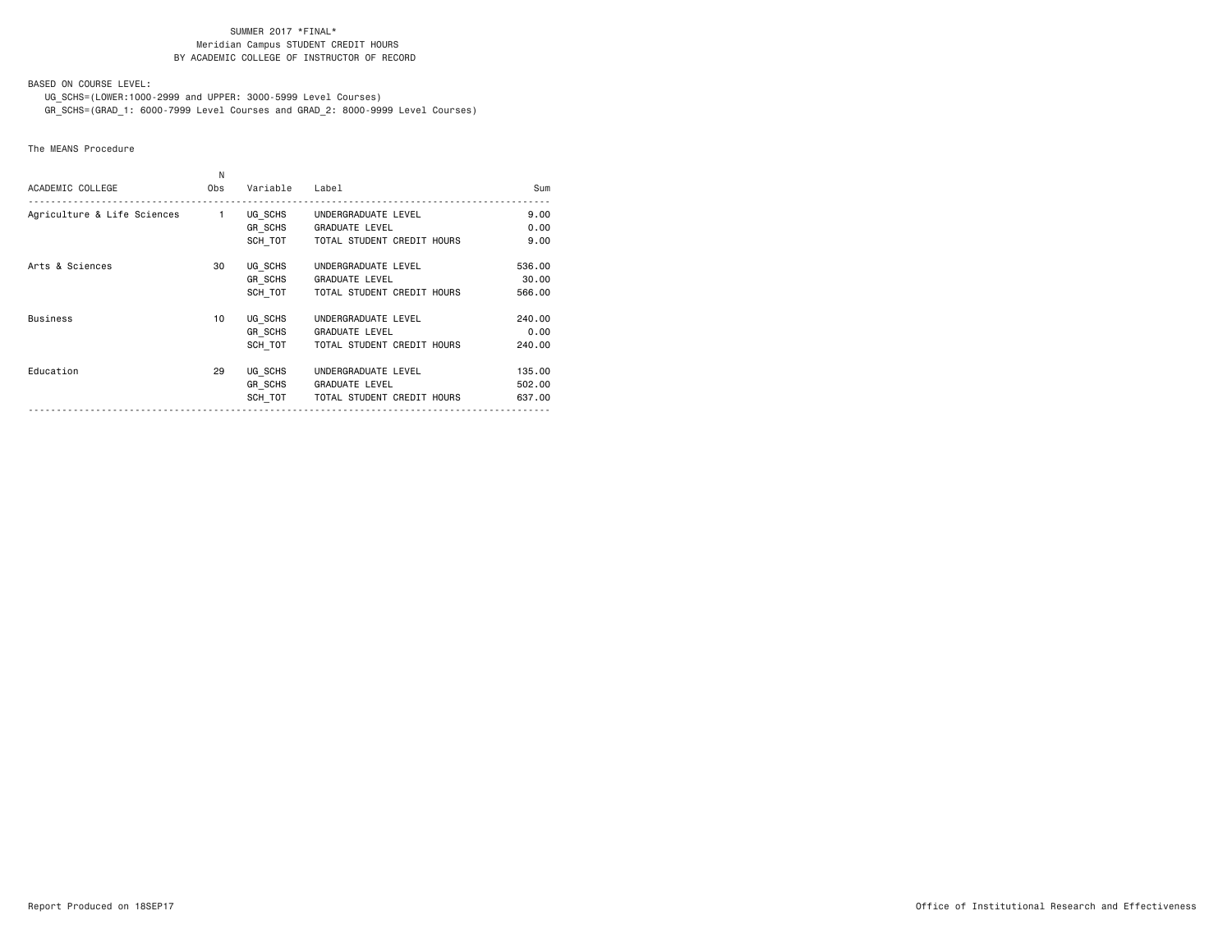BASED ON COURSE LEVEL:

UG\_SCHS=(LOWER:1000-2999 and UPPER: 3000-5999 Level Courses)

GR\_SCHS=(GRAD\_1: 6000-7999 Level Courses and GRAD\_2: 8000-9999 Level Courses)

The MEANS Procedure

| ACADEMIC COLLEGE                                          | N<br>Obs | Variable                      | Label                                                                              | Sum                        |
|-----------------------------------------------------------|----------|-------------------------------|------------------------------------------------------------------------------------|----------------------------|
| Agriculture & Life Sciences 1 UG SCHS UNDERGRADUATE LEVEL |          | <b>GR SCHS</b><br>SCH TOT     | <b>GRADUATE LEVEL</b><br>TOTAL STUDENT CREDIT HOURS                                | 9.00<br>0.00<br>9.00       |
| Arts & Sciences                                           | 30       | UG SCHS<br>GR SCHS<br>SCH TOT | UNDERGRADUATE LEVEL<br><b>GRADUATE LEVEL</b><br>TOTAL STUDENT CREDIT HOURS         | 536.00<br>30.00<br>566,00  |
| <b>Business</b>                                           | 10       | UG SCHS<br>GR SCHS<br>SCH TOT | UNDERGRADUATE LEVEL<br><b>GRADUATE LEVEL</b><br>TOTAL STUDENT CREDIT HOURS         | 240.00<br>0.00<br>240.00   |
| Education                                                 | 29       | UG SCHS<br><b>GR SCHS</b>     | UNDERGRADUATE LEVEL<br><b>GRADUATE LEVEL</b><br>SCH TOT TOTAL STUDENT CREDIT HOURS | 135,00<br>502.00<br>637.00 |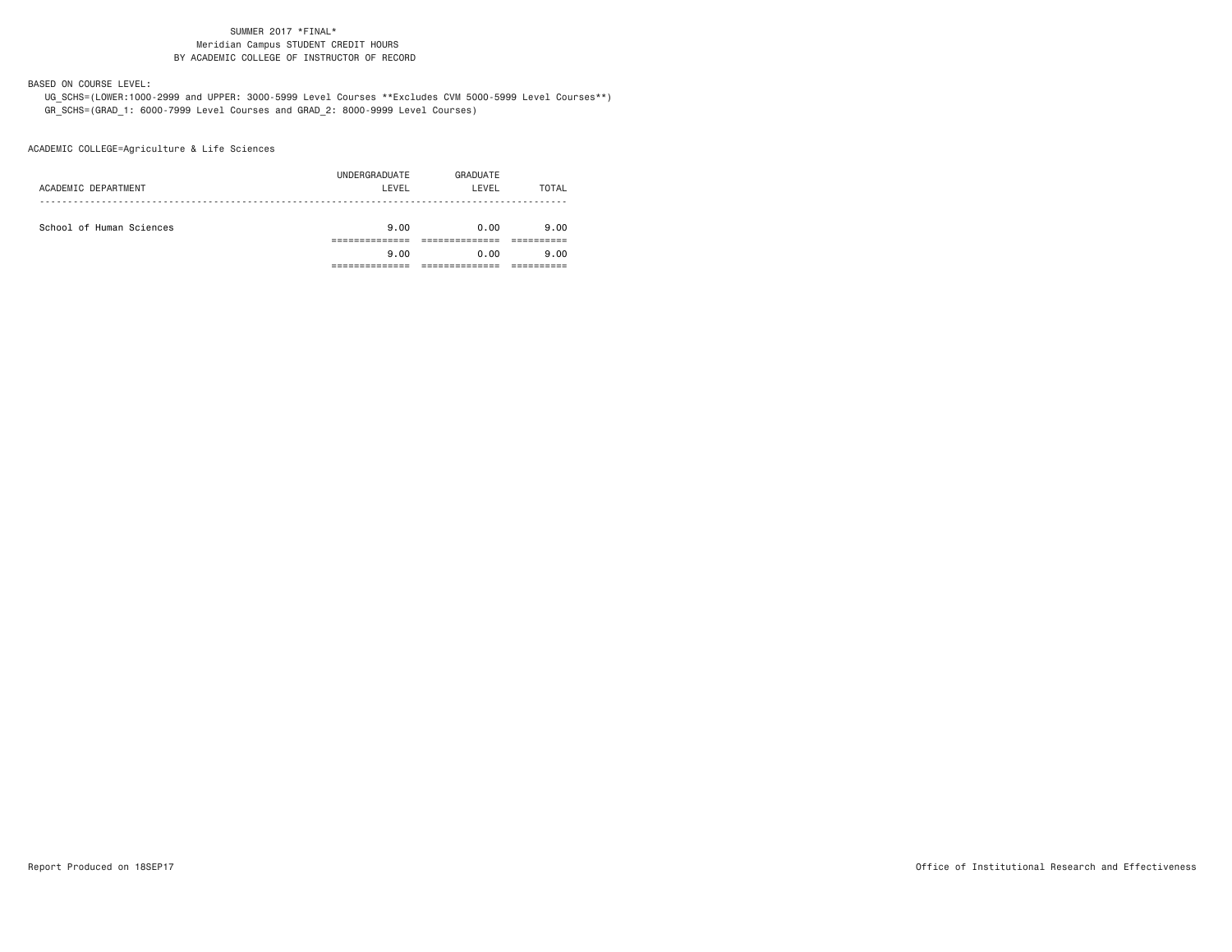BASED ON COURSE LEVEL:

 UG\_SCHS=(LOWER:1000-2999 and UPPER: 3000-5999 Level Courses \*\*Excludes CVM 5000-5999 Level Courses\*\*) GR\_SCHS=(GRAD\_1: 6000-7999 Level Courses and GRAD\_2: 8000-9999 Level Courses)

ACADEMIC COLLEGE=Agriculture & Life Sciences

| ACADEMIC DEPARTMENT      | UNDERGRADUATE<br>LEVEL | GRADUATE<br>LEVEL | TOTAL        |
|--------------------------|------------------------|-------------------|--------------|
| School of Human Sciences | 9.00<br>9.00           | 0.00<br>0.00      | 9.00<br>9.00 |
|                          |                        |                   |              |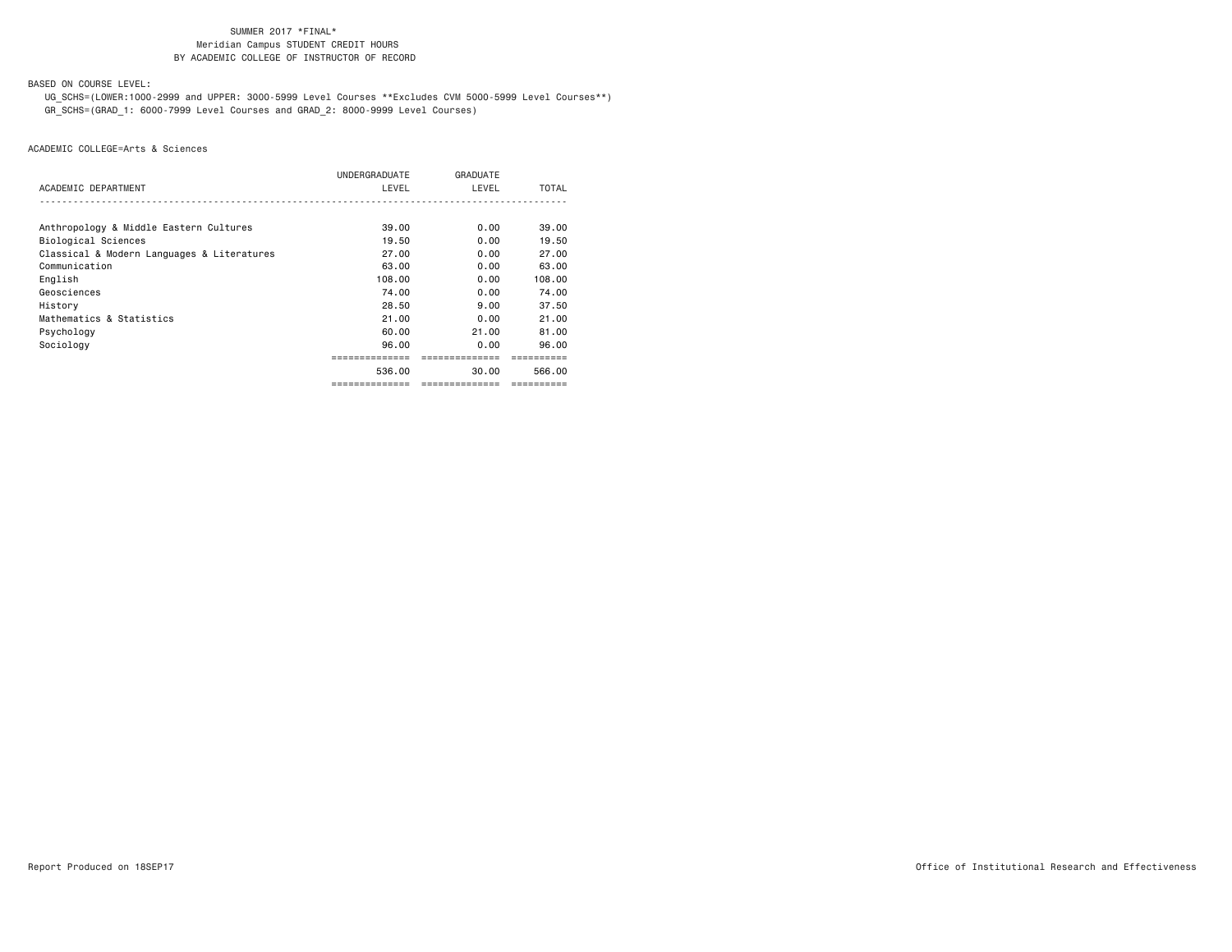BASED ON COURSE LEVEL:

 UG\_SCHS=(LOWER:1000-2999 and UPPER: 3000-5999 Level Courses \*\*Excludes CVM 5000-5999 Level Courses\*\*) GR\_SCHS=(GRAD\_1: 6000-7999 Level Courses and GRAD\_2: 8000-9999 Level Courses)

|                                            | UNDERGRADUATE  | GRADUATE       |            |
|--------------------------------------------|----------------|----------------|------------|
| ACADEMIC DEPARTMENT                        | LEVEL          | LEVEL          | TOTAL      |
|                                            |                |                |            |
| Anthropology & Middle Eastern Cultures     | 39,00          | 0.00           | 39.00      |
| Biological Sciences                        | 19.50          | 0.00           | 19.50      |
| Classical & Modern Languages & Literatures | 27.00          | 0.00           | 27.00      |
| Communication                              | 63.00          | 0.00           | 63.00      |
| English                                    | 108.00         | 0.00           | 108.00     |
| Geosciences                                | 74.00          | 0.00           | 74.00      |
| History                                    | 28.50          | 9.00           | 37.50      |
| Mathematics & Statistics                   | 21,00          | 0.00           | 21.00      |
| Psychology                                 | 60.00          | 21.00          | 81.00      |
| Sociology                                  | 96.00          | 0.00           | 96.00      |
|                                            |                | .              |            |
|                                            | 536.00         | 30.00          | 566.00     |
|                                            | ============== | ============== | ========== |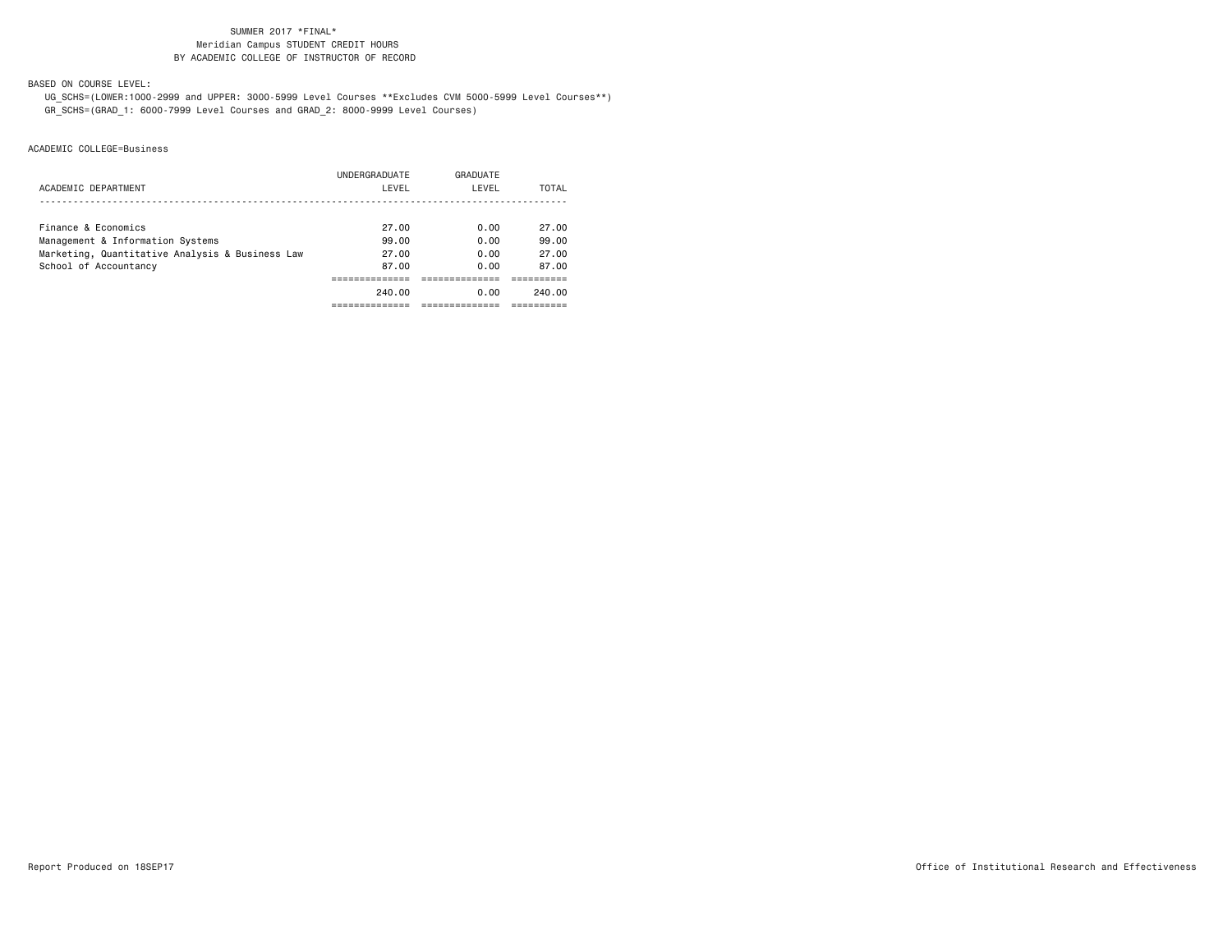BASED ON COURSE LEVEL:

 UG\_SCHS=(LOWER:1000-2999 and UPPER: 3000-5999 Level Courses \*\*Excludes CVM 5000-5999 Level Courses\*\*) GR\_SCHS=(GRAD\_1: 6000-7999 Level Courses and GRAD\_2: 8000-9999 Level Courses)

|                                                 | UNDERGRADUATE | GRADUATE |        |
|-------------------------------------------------|---------------|----------|--------|
| ACADEMIC DEPARTMENT                             | LEVEL         | LEVEL    | TOTAL  |
|                                                 |               |          |        |
| Finance & Economics                             | 27.00         | 0.00     | 27.00  |
| Management & Information Systems                | 99.00         | 0.00     | 99.00  |
| Marketing, Quantitative Analysis & Business Law | 27.00         | 0.00     | 27.00  |
| School of Accountancy                           | 87.00         | 0.00     | 87.00  |
|                                                 |               |          |        |
|                                                 | 240.00        | 0.00     | 240.00 |
|                                                 |               |          |        |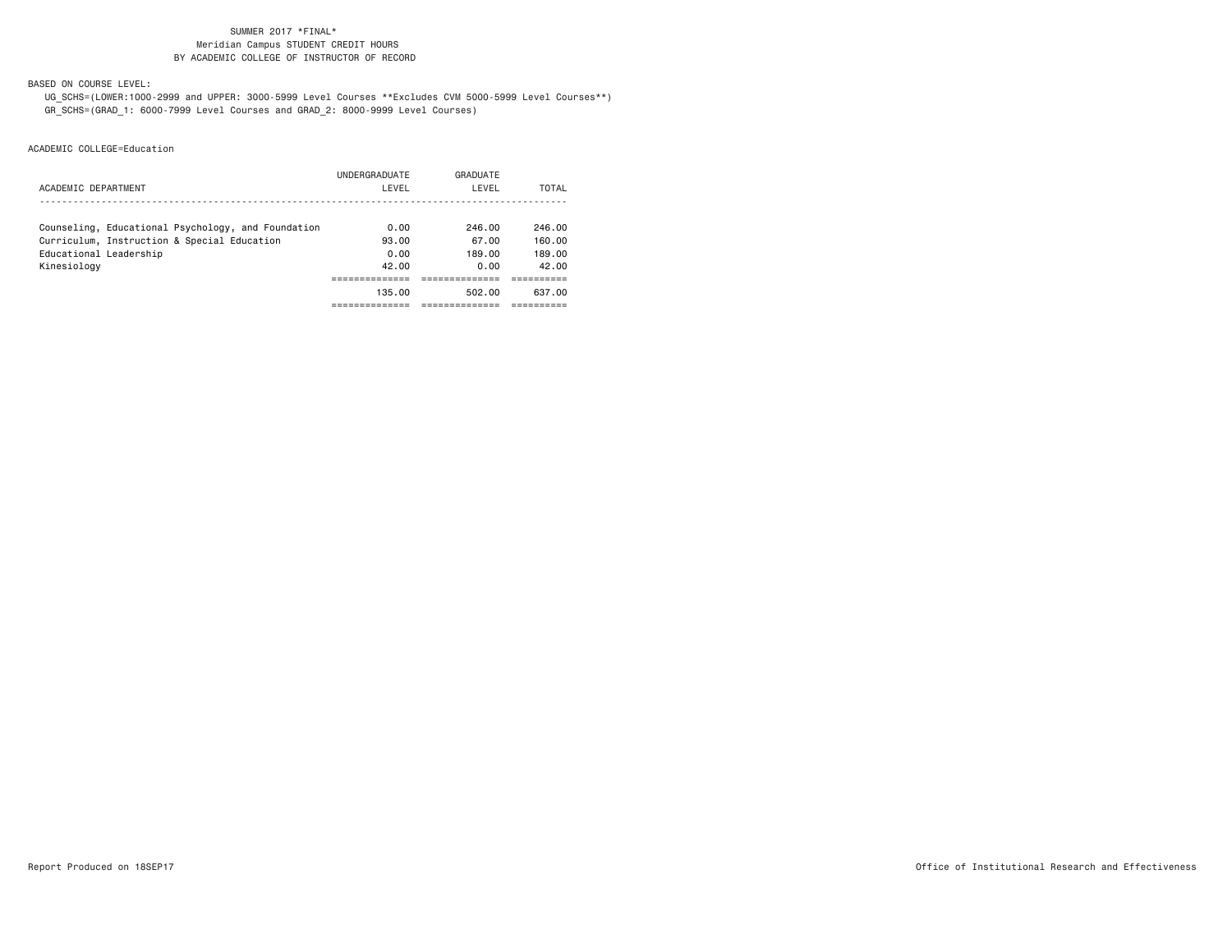BASED ON COURSE LEVEL:

 UG\_SCHS=(LOWER:1000-2999 and UPPER: 3000-5999 Level Courses \*\*Excludes CVM 5000-5999 Level Courses\*\*) GR\_SCHS=(GRAD\_1: 6000-7999 Level Courses and GRAD\_2: 8000-9999 Level Courses)

|                                                    | UNDERGRADUATE | GRADUATE |        |
|----------------------------------------------------|---------------|----------|--------|
| ACADEMIC DEPARTMENT                                | LEVEL         | LEVEL    | TOTAL  |
|                                                    |               |          |        |
| Counseling, Educational Psychology, and Foundation | 0.00          | 246.00   | 246.00 |
| Curriculum, Instruction & Special Education        | 93.00         | 67.00    | 160.00 |
| Educational Leadership                             | 0.00          | 189.00   | 189.00 |
| Kinesiology                                        | 42.00         | 0.00     | 42.00  |
|                                                    |               |          |        |
|                                                    | 135.00        | 502.00   | 637.00 |
|                                                    |               |          |        |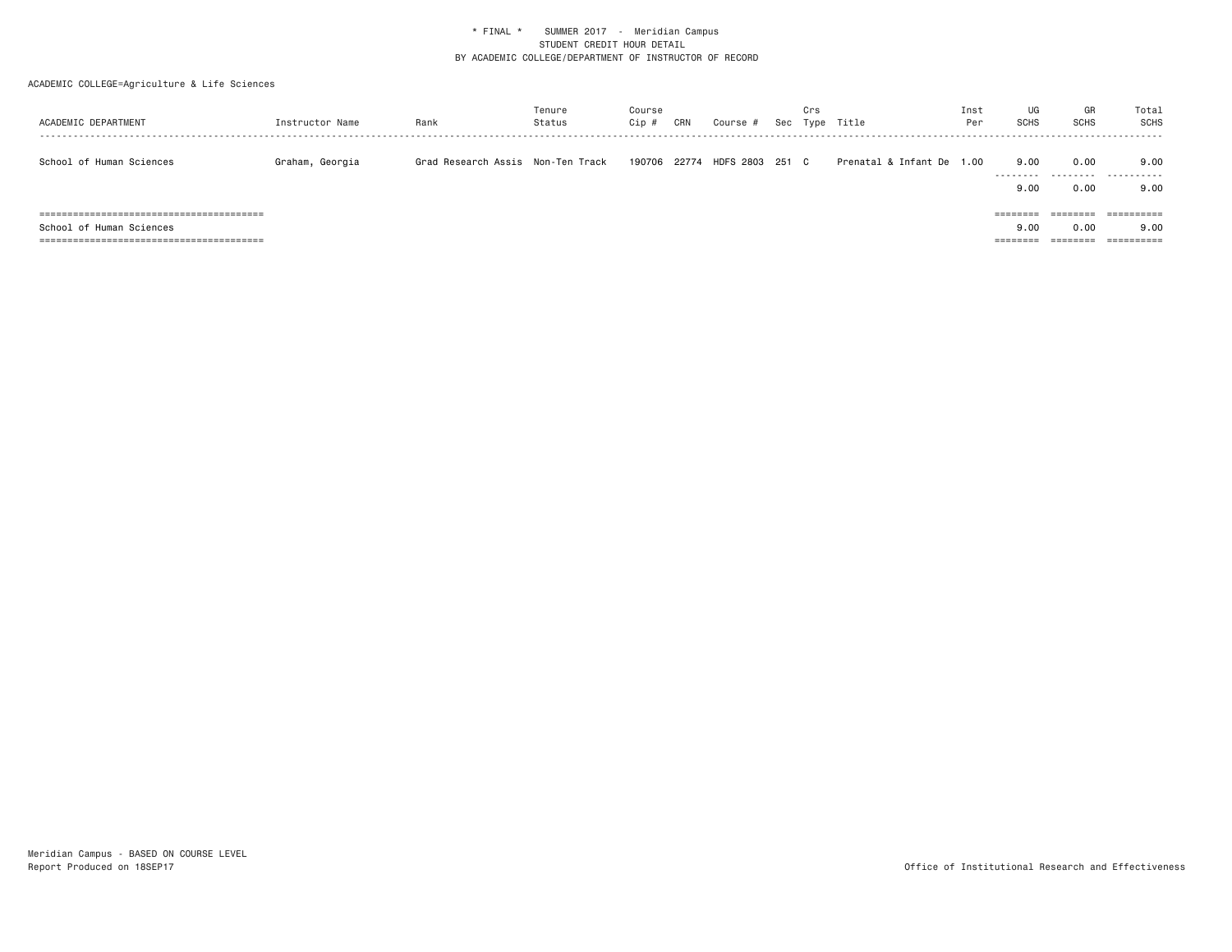# ACADEMIC COLLEGE=Agriculture & Life Sciences

| ACADEMIC DEPARTMENT      | Instructor Name | Rank                              | Tenure<br>Status | Course<br>Cip # | CRN | Course #                     | Crs | Sec Type Title            | Inst<br>Per | UG<br><b>SCHS</b>         | GR<br>SCHS        | Total<br>SCHS      |
|--------------------------|-----------------|-----------------------------------|------------------|-----------------|-----|------------------------------|-----|---------------------------|-------------|---------------------------|-------------------|--------------------|
| School of Human Sciences | Graham, Georgia | Grad Research Assis Non-Ten Track |                  |                 |     | 190706 22774 HDFS 2803 251 C |     | Prenatal & Infant De 1.00 |             | 9.00<br>---------<br>9.00 | 0.00<br>0.00      | 9.00<br>.<br>9.00  |
| School of Human Sciences |                 |                                   |                  |                 |     |                              |     |                           |             | ========<br>9.00          | ---------<br>0.00 | ==========<br>9.00 |
| =====                    |                 |                                   |                  |                 |     |                              |     |                           |             |                           | =======           | ==========         |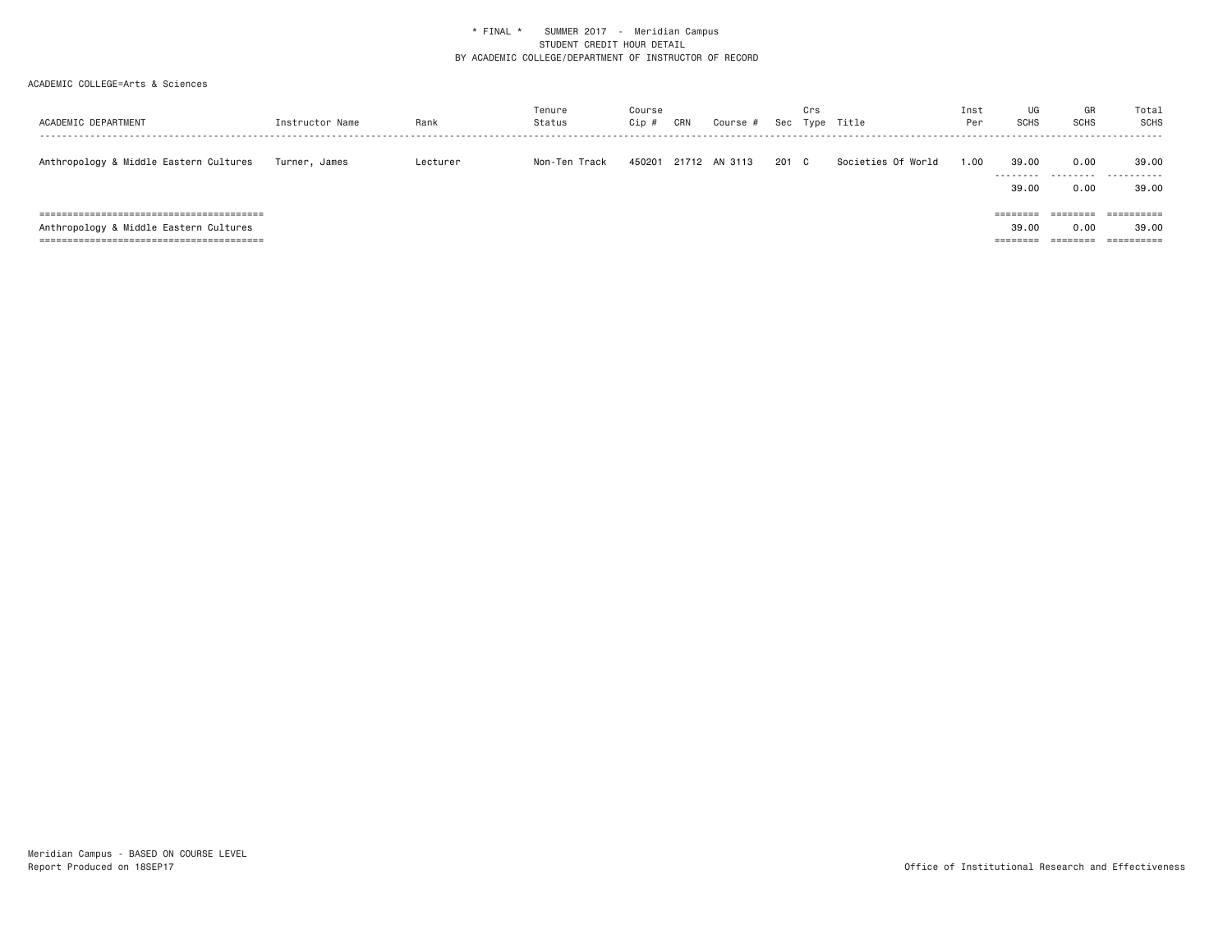| ACADEMIC DEPARTMENT                    | Instructor Name | Rank     | Tenure<br>Status | Course<br>Cip # | CRN | Course #      | Sec   | Crs | Type Title         | Inst<br>Per | UG<br><b>SCHS</b>                         | GR<br><b>SCHS</b>                        | Total<br>SCHS                                    |
|----------------------------------------|-----------------|----------|------------------|-----------------|-----|---------------|-------|-----|--------------------|-------------|-------------------------------------------|------------------------------------------|--------------------------------------------------|
| Anthropology & Middle Eastern Cultures | Turner, James   | Lecturer | Non-Ten Track    | 450201          |     | 21712 AN 3113 | 201 C |     | Societies Of World | 1.00        | 39.00<br>---------<br>39.00               | 0.00<br>.<br>0.00                        | 39,00<br>.<br>39,00                              |
| Anthropology & Middle Eastern Cultures |                 |          |                  |                 |     |               |       |     |                    |             | ========<br>39.00<br>--------<br>-------- | --------<br>0.00<br>--------<br>-------- | ==========<br>39,00<br>-----------<br>---------- |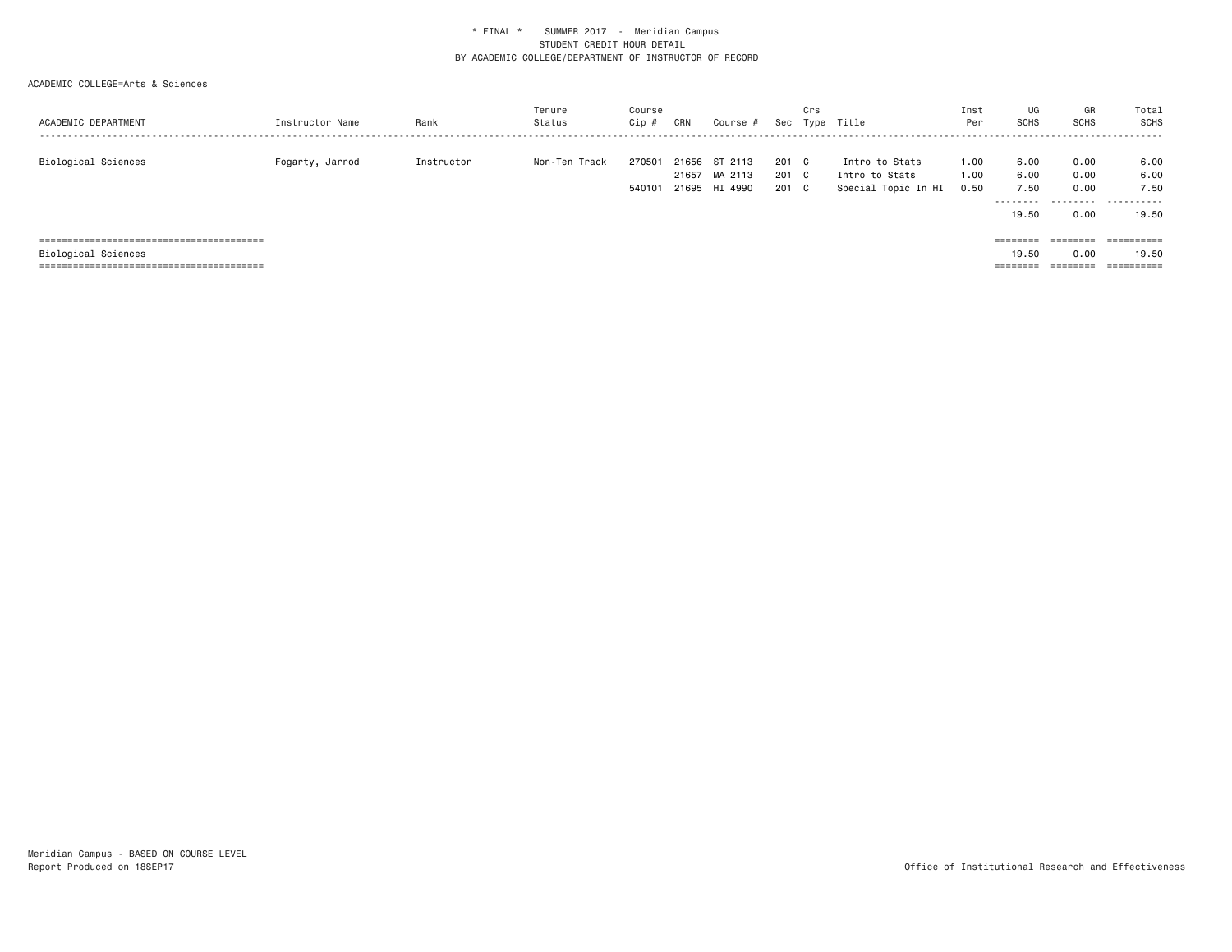| ACADEMIC DEPARTMENT | Instructor Name | Rank       | Tenure<br>Status | Course<br>Cip #  | CRN   | Course #                                  | Sec                   | Crs<br>Type | Title                                                   | Inst<br>Per          | UG<br>SCHS                 | GR<br><b>SCHS</b>                                                               | Total<br>SCHS             |
|---------------------|-----------------|------------|------------------|------------------|-------|-------------------------------------------|-----------------------|-------------|---------------------------------------------------------|----------------------|----------------------------|---------------------------------------------------------------------------------|---------------------------|
| Biological Sciences | Fogarty, Jarrod | Instructor | Non-Ten Track    | 270501<br>540101 | 21657 | 21656 ST 2113<br>MA 2113<br>21695 HI 4990 | 201 C<br>201 C<br>201 | C.          | Intro to Stats<br>Intro to Stats<br>Special Topic In HI | 1.00<br>1.00<br>0.50 | 6.00<br>6.00<br>7.50<br>.  | 0.00<br>0.00<br>0.00<br>.                                                       | 6.00<br>6.00<br>7.50<br>. |
|                     |                 |            |                  |                  |       |                                           |                       |             |                                                         |                      | 19.50<br>$=$ = = = = = = = | 0.00<br>$\qquad \qquad \equiv \equiv \equiv \equiv \equiv \equiv \equiv \equiv$ | 19.50<br>==========       |
| Biological Sciences |                 |            |                  |                  |       |                                           |                       |             |                                                         |                      | 19.50                      | 0.00                                                                            | 19.50                     |
|                     |                 |            |                  |                  |       |                                           |                       |             |                                                         |                      |                            | ========                                                                        | ==========                |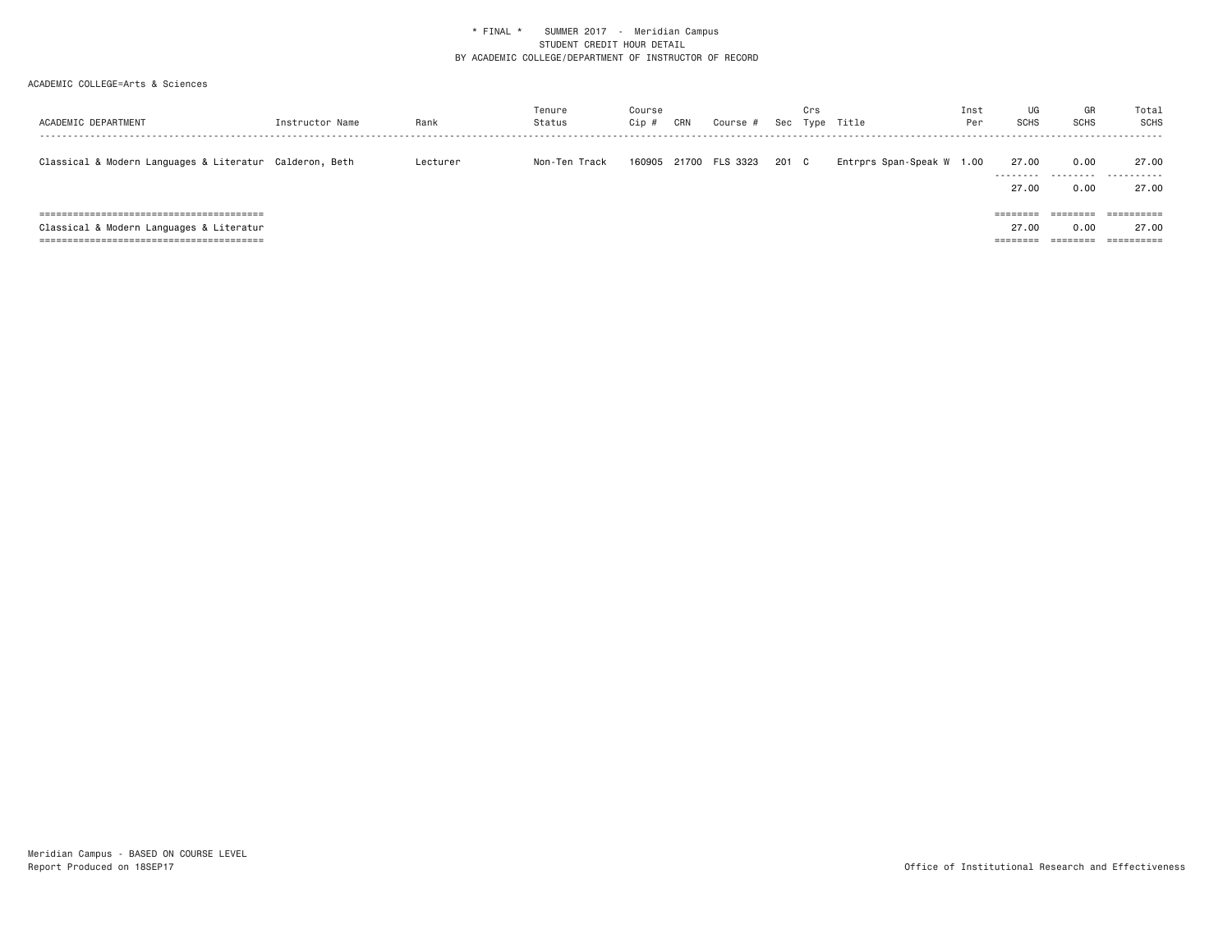| ACADEMIC DEPARTMENT                                     | Instructor Name | Rank     | Tenure<br>Status | Course<br>Cip # | CRN   | Course # | Sec   | Crs | Type Title           | Inst<br>Per | UG<br><b>SCHS</b>                         | GR<br><b>SCHS</b>                         | Total<br>SCHS                                    |
|---------------------------------------------------------|-----------------|----------|------------------|-----------------|-------|----------|-------|-----|----------------------|-------------|-------------------------------------------|-------------------------------------------|--------------------------------------------------|
| Classical & Modern Languages & Literatur Calderon, Beth |                 | Lecturer | Non-Ten Track    | 160905          | 21700 | FLS 3323 | 201 C |     | Entrprs Span-Speak W | 1.00        | 27.00<br>---------<br>27.00               | 0.00<br>.<br>0.00                         | 27.00<br>.<br>27.00                              |
| Classical & Modern Languages & Literatur                |                 |          |                  |                 |       |          |       |     |                      |             | ========<br>27.00<br>--------<br>-------- | --------<br>0.00<br>---------<br>-------- | ==========<br>27.00<br>-----------<br>---------- |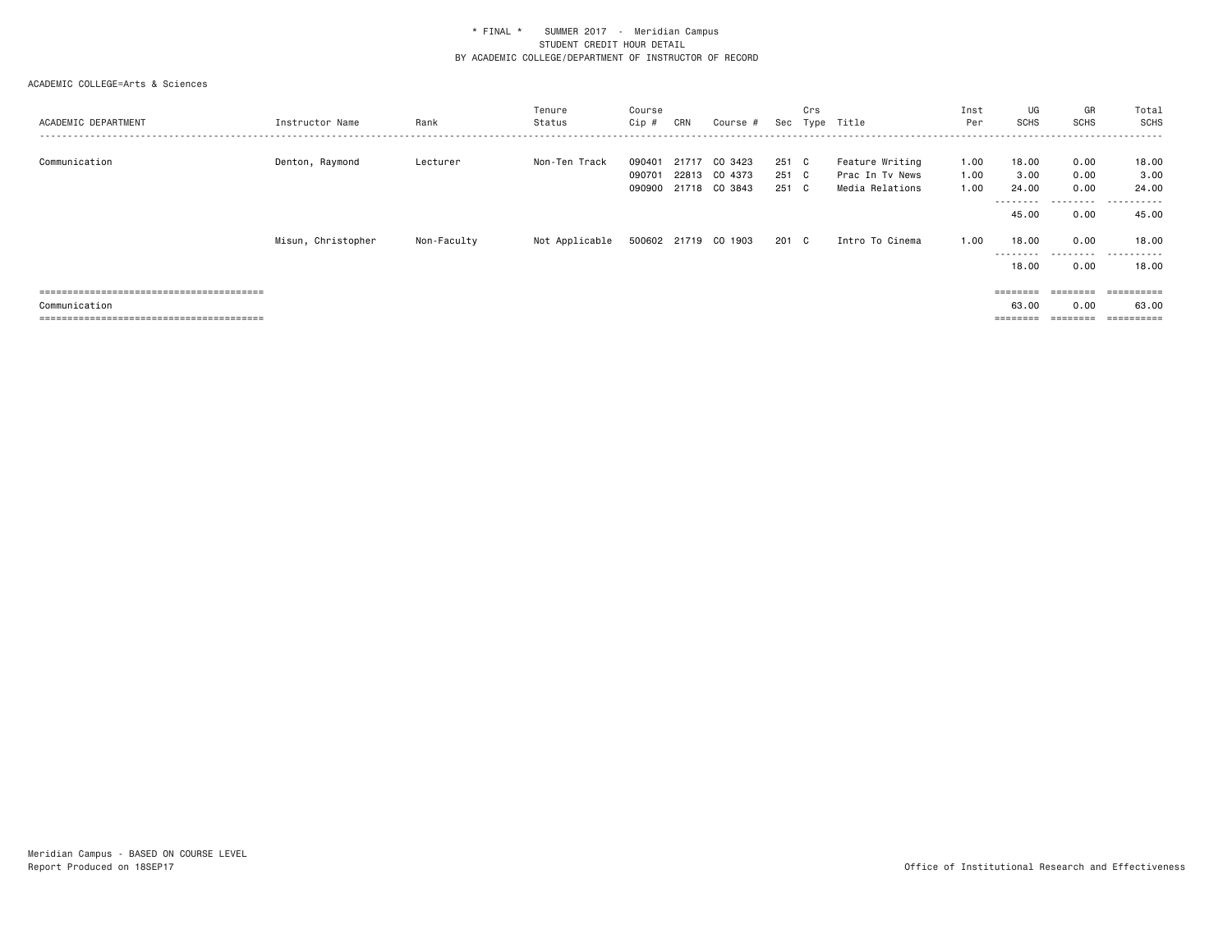|                     |                    |             | Tenure         | Course |       |                      |       | Crs |                 | Inst | UG                | GR                                                                      | Total                       |
|---------------------|--------------------|-------------|----------------|--------|-------|----------------------|-------|-----|-----------------|------|-------------------|-------------------------------------------------------------------------|-----------------------------|
| ACADEMIC DEPARTMENT | Instructor Name    | Rank        | Status         | Cip #  | CRN   | Course #             | Sec   |     | Type Title      | Per  | <b>SCHS</b>       | SCHS                                                                    | SCHS                        |
|                     |                    |             |                |        |       |                      |       |     |                 |      |                   |                                                                         |                             |
| Communication       | Denton, Raymond    | Lecturer    | Non-Ten Track  | 090401 | 21717 | CO 3423              | 251 C |     | Feature Writing | 1.00 | 18.00             | 0.00                                                                    | 18.00                       |
|                     |                    |             |                | 090701 | 22813 | CO 4373              | 251 C |     | Prac In Ty News | 1.00 | 3.00              | 0.00                                                                    | 3.00                        |
|                     |                    |             |                | 090900 | 21718 | CO 3843              | 251 C |     | Media Relations | 1.00 | 24.00<br>-------- | 0.00                                                                    | 24.00                       |
|                     |                    |             |                |        |       |                      |       |     |                 |      | 45.00             | .<br>0.00                                                               | .<br>45.00                  |
|                     | Misun, Christopher | Non-Faculty | Not Applicable |        |       | 500602 21719 CO 1903 | 201 C |     | Intro To Cinema | 1.00 | 18,00             | 0.00                                                                    | 18.00                       |
|                     |                    |             |                |        |       |                      |       |     |                 |      | --------<br>18.00 | .<br>0.00                                                               | -------<br>$- - -$<br>18.00 |
|                     |                    |             |                |        |       |                      |       |     |                 |      | $=$ = = = = = = = | $\qquad \qquad \equiv \equiv \equiv \equiv \equiv \equiv \equiv \equiv$ | ==========                  |
| Communication       |                    |             |                |        |       |                      |       |     |                 |      | 63.00             | 0.00                                                                    | 63.00                       |
|                     |                    |             |                |        |       |                      |       |     |                 |      |                   |                                                                         |                             |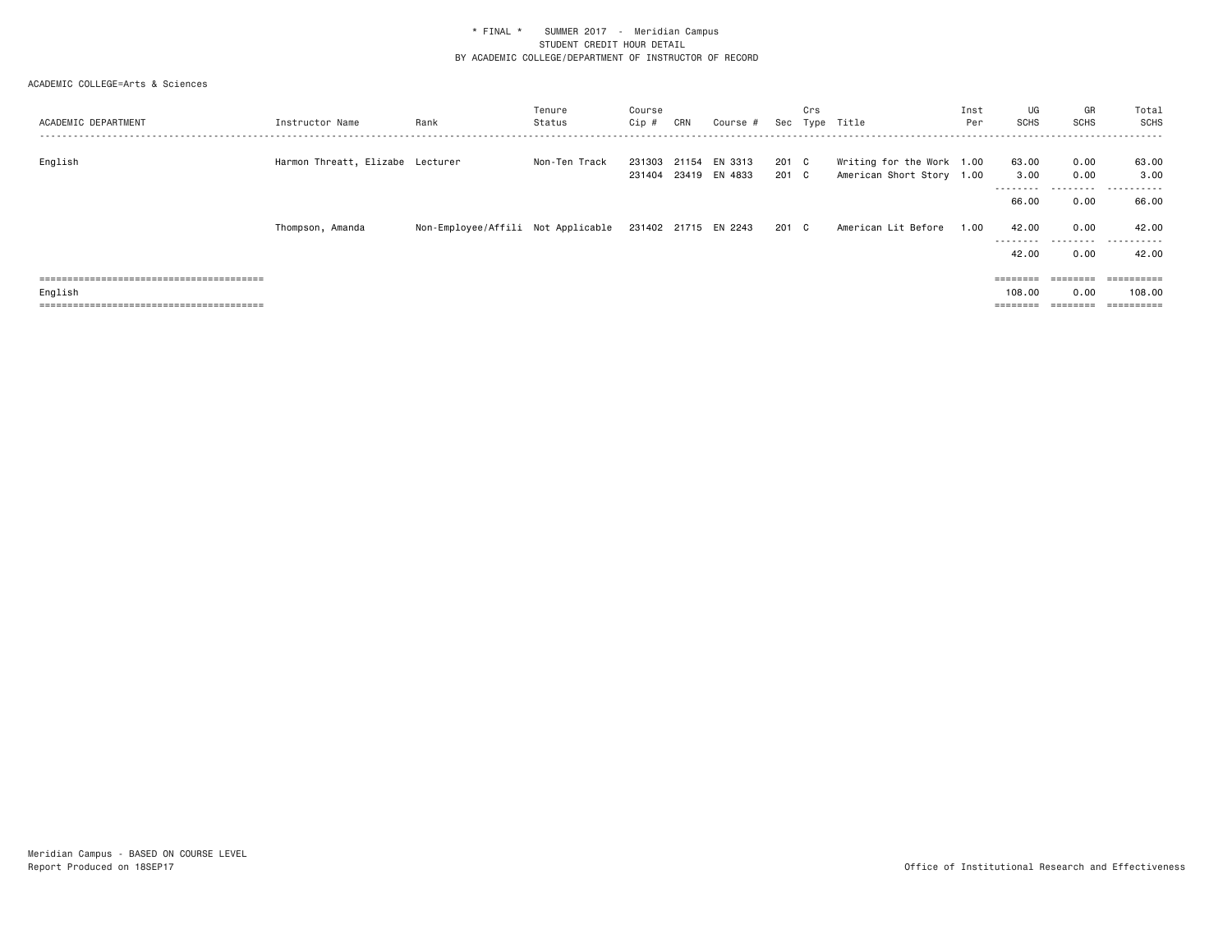| ACADEMIC DEPARTMENT | Instructor Name                  | Rank                                                    | Tenure<br>Status | Course<br>Cip #  | CRN   | Course #                 | Sec            | Crs | Type Title                                             | Inst<br>Per | UG<br>SCHS               | GR<br>SCHS                                                              | Total<br>SCHS    |
|---------------------|----------------------------------|---------------------------------------------------------|------------------|------------------|-------|--------------------------|----------------|-----|--------------------------------------------------------|-------------|--------------------------|-------------------------------------------------------------------------|------------------|
| English             | Harmon Threatt, Elizabe Lecturer |                                                         | Non-Ten Track    | 231303<br>231404 | 21154 | EN 3313<br>23419 EN 4833 | 201 C<br>201 C |     | Writing for the Work 1.00<br>American Short Story 1.00 |             | 63.00<br>3.00            | 0.00<br>0.00                                                            | 63.00<br>3.00    |
|                     |                                  |                                                         |                  |                  |       |                          |                |     |                                                        |             | - - - - - - - -<br>66.00 | ---------<br>0.00                                                       | -------<br>66.00 |
|                     | Thompson, Amanda                 | Non-Employee/Affili Not Applicable 231402 21715 EN 2243 |                  |                  |       |                          | 201 C          |     | American Lit Before                                    | 1.00        | 42.00<br>--------        | 0.00<br>.                                                               | 42.00<br>.       |
|                     |                                  |                                                         |                  |                  |       |                          |                |     |                                                        |             | 42.00                    | 0.00                                                                    | 42.00            |
|                     |                                  |                                                         |                  |                  |       |                          |                |     |                                                        |             |                          | $\qquad \qquad \equiv \equiv \equiv \equiv \equiv \equiv \equiv \equiv$ | ==========       |
| English             |                                  |                                                         |                  |                  |       |                          |                |     |                                                        |             | 108,00                   | 0.00                                                                    | 108,00           |
|                     |                                  |                                                         |                  |                  |       |                          |                |     |                                                        |             | $=$ = = = = = = =        | ========                                                                |                  |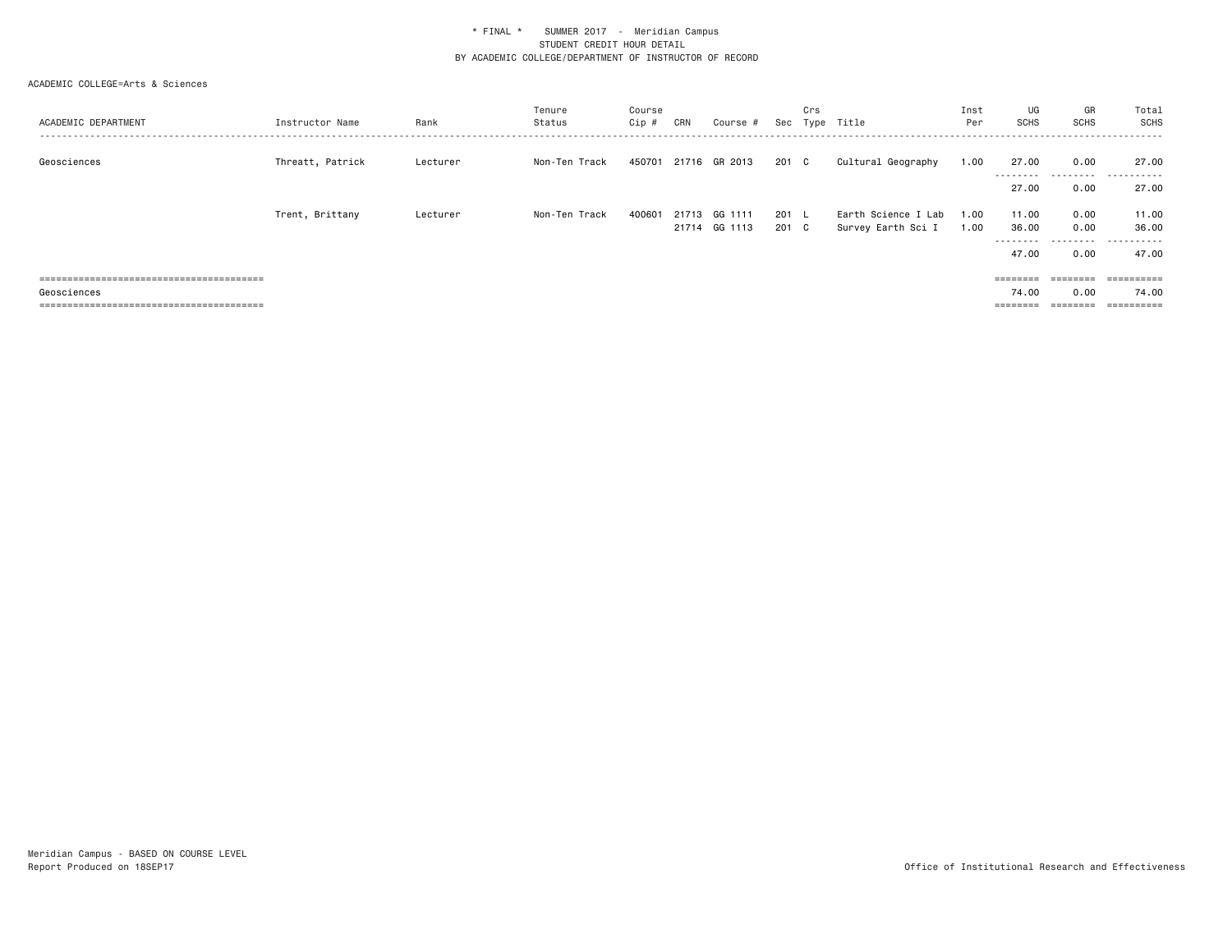| ACADEMIC DEPARTMENT | Instructor Name  | Rank     | Tenure<br>Status | Course<br>Cip # | CRN | Course #                       |                | Crs | Sec Type Title                            | Inst<br>Per  | UG<br><b>SCHS</b>  | GR<br><b>SCHS</b> | Total<br>SCHS         |
|---------------------|------------------|----------|------------------|-----------------|-----|--------------------------------|----------------|-----|-------------------------------------------|--------------|--------------------|-------------------|-----------------------|
| Geosciences         | Threatt, Patrick | Lecturer | Non-Ten Track    | 450701          |     | 21716 GR 2013                  | 201 C          |     | Cultural Geography                        | 1.00         | 27.00<br>--------- | 0.00<br>.         | 27.00<br>.<br>$- - -$ |
|                     |                  |          |                  |                 |     |                                |                |     |                                           |              | 27.00              | 0.00              | 27.00                 |
|                     | Trent, Brittany  | Lecturer | Non-Ten Track    | 400601          |     | 21713 GG 1111<br>21714 GG 1113 | 201 L<br>201 C |     | Earth Science I Lab<br>Survey Earth Sci I | 1.00<br>1.00 | 11.00<br>36.00     | 0.00<br>0.00      | 11.00<br>36.00        |
|                     |                  |          |                  |                 |     |                                |                |     |                                           |              | ---------          | .                 | .                     |
|                     |                  |          |                  |                 |     |                                |                |     |                                           |              | 47.00              | 0.00              | 47.00                 |
|                     |                  |          |                  |                 |     |                                |                |     |                                           |              | ========           | ========          | ==========            |
| Geosciences         |                  |          |                  |                 |     |                                |                |     |                                           |              | 74.00              | 0.00              | 74.00                 |
|                     |                  |          |                  |                 |     |                                |                |     |                                           |              | ========           | ========          | ==========            |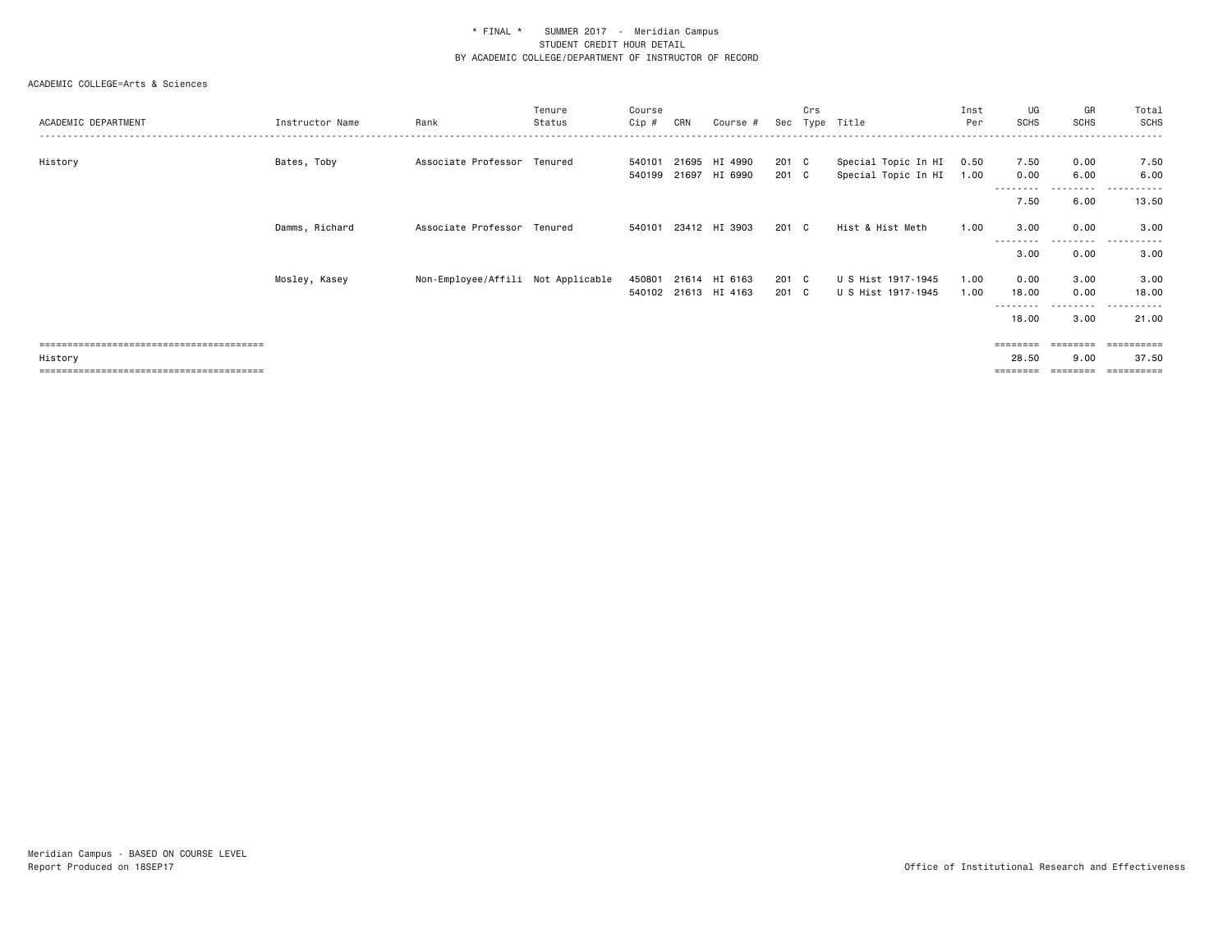### ACADEMIC COLLEGE=Arts & Sciences

| ACADEMIC DEPARTMENT | Instructor Name | Rank                               | Tenure<br>Status | Course<br>Cip # | CRN   | Course #             |       | Crs | Sec Type Title      | Inst<br>Per | UG<br><b>SCHS</b> | GR<br><b>SCHS</b> | Total<br><b>SCHS</b>  |
|---------------------|-----------------|------------------------------------|------------------|-----------------|-------|----------------------|-------|-----|---------------------|-------------|-------------------|-------------------|-----------------------|
|                     |                 |                                    |                  |                 |       |                      |       |     |                     |             |                   |                   |                       |
| History             | Bates, Toby     | Associate Professor Tenured        |                  | 540101          |       | 21695 HI 4990        | 201 C |     | Special Topic In HI | 0.50        | 7.50              | 0.00              | 7.50                  |
|                     |                 |                                    |                  | 540199          |       | 21697 HI 6990        | 201 C |     | Special Topic In HI | 1.00        | 0.00              | 6.00              | 6.00                  |
|                     |                 |                                    |                  |                 |       |                      |       |     |                     |             | --------          | ---------         | .                     |
|                     |                 |                                    |                  |                 |       |                      |       |     |                     |             | 7.50              | 6.00              | 13.50                 |
|                     | Damms, Richard  | Associate Professor Tenured        |                  | 540101          |       | 23412 HI 3903        | 201 C |     | Hist & Hist Meth    | 1.00        | 3.00              | 0.00              | 3.00<br>.<br>$\cdots$ |
|                     |                 |                                    |                  |                 |       |                      |       |     |                     |             | 3.00              | 0.00              | 3.00                  |
|                     | Mosley, Kasey   | Non-Employee/Affili Not Applicable |                  | 450801          | 21614 | HI 6163              | 201 C |     | U S Hist 1917-1945  | 1.00        | 0.00              | 3.00              | 3.00                  |
|                     |                 |                                    |                  |                 |       | 540102 21613 HI 4163 | 201 C |     | U S Hist 1917-1945  | 1.00        | 18.00             | 0.00              | 18.00                 |
|                     |                 |                                    |                  |                 |       |                      |       |     |                     |             | 18.00             | --------<br>3.00  | ------<br>.<br>21.00  |
|                     |                 |                                    |                  |                 |       |                      |       |     |                     |             |                   | $=$ = = = = = = = | ==========            |
| History             |                 |                                    |                  |                 |       |                      |       |     |                     |             | 28.50             | 9.00              | 37.50                 |

======================================== ======== ======== ==========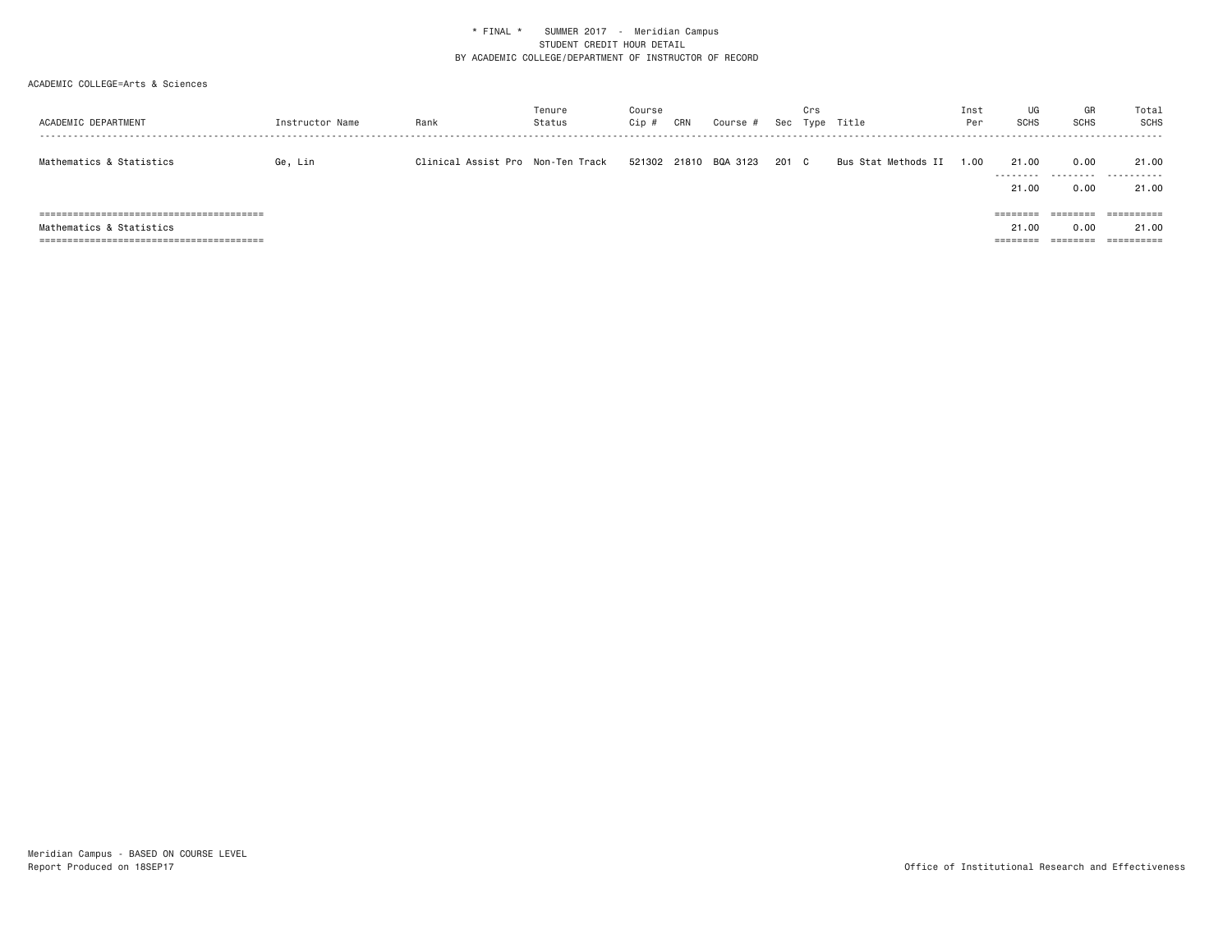| ACADEMIC DEPARTMENT      | Instructor Name | Rank                              | Tenure<br>Status | Course<br>Cip # | CRN | Course #              | Sec   | Crs | Type Title          | Inst<br>Per | UG<br><b>SCHS</b>  | GR<br><b>SCHS</b> | Total<br>SCHS       |
|--------------------------|-----------------|-----------------------------------|------------------|-----------------|-----|-----------------------|-------|-----|---------------------|-------------|--------------------|-------------------|---------------------|
| Mathematics & Statistics | Ge, Lin         | Clinical Assist Pro Non-Ten Track |                  |                 |     | 521302 21810 BQA 3123 | 201 C |     | Bus Stat Methods II | 1.00        | 21.00              | 0.00              | 21.00<br>           |
|                          |                 |                                   |                  |                 |     |                       |       |     |                     |             | 21.00<br>--------- | 0.00<br>--------  | 21.00<br>========== |
|                          |                 |                                   |                  |                 |     |                       |       |     |                     |             |                    |                   |                     |
| Mathematics & Statistics |                 |                                   |                  |                 |     |                       |       |     |                     |             | 21.00              | 0.00<br>========  | 21.00<br>========== |
|                          |                 |                                   |                  |                 |     |                       |       |     |                     |             | --------           |                   |                     |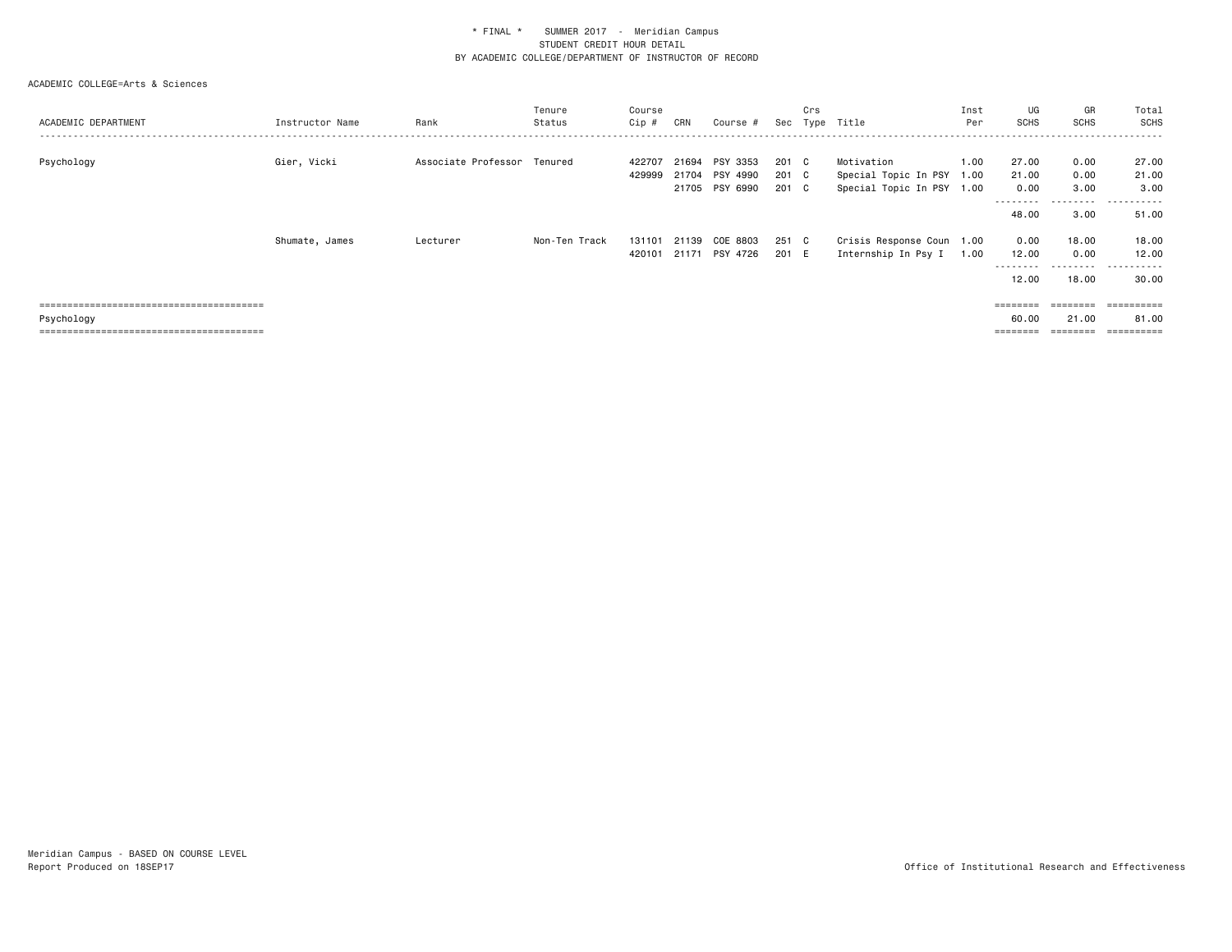| ACADEMIC DEPARTMENT | Instructor Name | Rank                | Tenure<br>Status | Course<br>Cip #  | CRN   | Course #                                     | Sec                     | Crs | Type Title                                                           | Inst<br>Per | UG<br><b>SCHS</b>                           | GR<br><b>SCHS</b>                      | Total<br>SCHS                        |
|---------------------|-----------------|---------------------|------------------|------------------|-------|----------------------------------------------|-------------------------|-----|----------------------------------------------------------------------|-------------|---------------------------------------------|----------------------------------------|--------------------------------------|
| Psychology          | Gier, Vicki     | Associate Professor | Tenured          | 422707<br>429999 | 21694 | PSY 3353<br>21704 PSY 4990<br>21705 PSY 6990 | 201 C<br>201 C<br>201 C |     | Motivation<br>Special Topic In PSY 1.00<br>Special Topic In PSY 1.00 | 1.00        | 27.00<br>21.00<br>0.00<br>--------<br>48.00 | 0.00<br>0.00<br>3.00<br>.<br>3.00      | 27.00<br>21.00<br>3.00<br>.<br>51.00 |
|                     | Shumate, James  | Lecturer            | Non-Ten Track    | 131101<br>420101 | 21139 | COE 8803<br>21171 PSY 4726                   | 251 C<br>201 E          |     | Crisis Response Coun 1.00<br>Internship In Psy I                     | 1.00        | 0.00<br>12.00<br>- - - - - - - -<br>12.00   | 18.00<br>0.00<br>--------<br>18.00     | 18.00<br>12.00<br>.<br>30.00         |
| Psychology          |                 |                     |                  |                  |       |                                              |                         |     |                                                                      |             | $=$ = = = = = = =<br>60.00                  | $=$ = = = = = = =<br>21.00<br>======== | ==========<br>81.00<br>-----------   |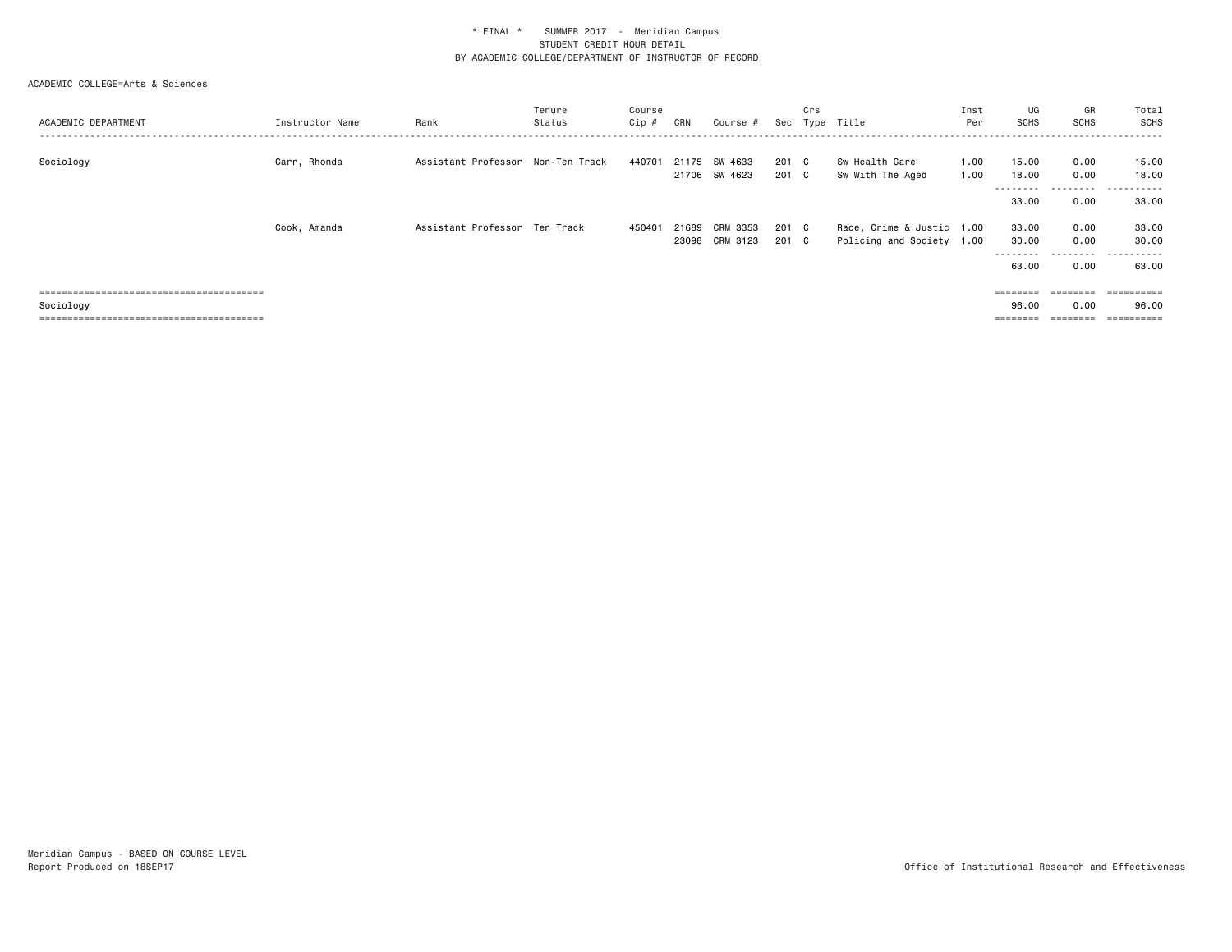| ACADEMIC DEPARTMENT | Instructor Name | Rank                              | Tenure<br>Status | Course<br>Cip # | CRN   | Course #                       | Sec            | Crs                | Type Title                                             | Inst<br>Per  | UG<br><b>SCHS</b>                    | GR<br><b>SCHS</b>                                                       | Total<br>SCHS                     |
|---------------------|-----------------|-----------------------------------|------------------|-----------------|-------|--------------------------------|----------------|--------------------|--------------------------------------------------------|--------------|--------------------------------------|-------------------------------------------------------------------------|-----------------------------------|
| Sociology           | Carr, Rhonda    | Assistant Professor Non-Ten Track |                  | 440701          |       | 21175 SW 4633<br>21706 SW 4623 | 201<br>201     | $\mathbf{C}$<br>C. | Sw Health Care<br>Sw With The Aged                     | 1.00<br>1.00 | 15.00<br>18.00<br>---------          | 0.00<br>0.00<br>.                                                       | 15.00<br>18.00<br>.<br>.          |
|                     |                 |                                   |                  |                 |       |                                |                |                    |                                                        |              | 33.00                                | 0.00                                                                    | 33.00                             |
|                     | Cook, Amanda    | Assistant Professor Ten Track     |                  | 450401          | 21689 | CRM 3353<br>23098 CRM 3123     | 201 C<br>201 C |                    | Race, Crime & Justic 1.00<br>Policing and Society 1.00 |              | 33.00<br>30.00<br>---------<br>63.00 | 0.00<br>0.00<br>.<br>0.00                                               | 33.00<br>30.00<br>.<br>.<br>63.00 |
|                     |                 |                                   |                  |                 |       |                                |                |                    |                                                        |              |                                      | $\qquad \qquad \equiv \equiv \equiv \equiv \equiv \equiv \equiv \equiv$ |                                   |
| Sociology           |                 |                                   |                  |                 |       |                                |                |                    |                                                        |              | 96.00                                | 0.00                                                                    | 96.00                             |
|                     |                 |                                   |                  |                 |       |                                |                |                    |                                                        |              | ========                             | ========                                                                | ==========                        |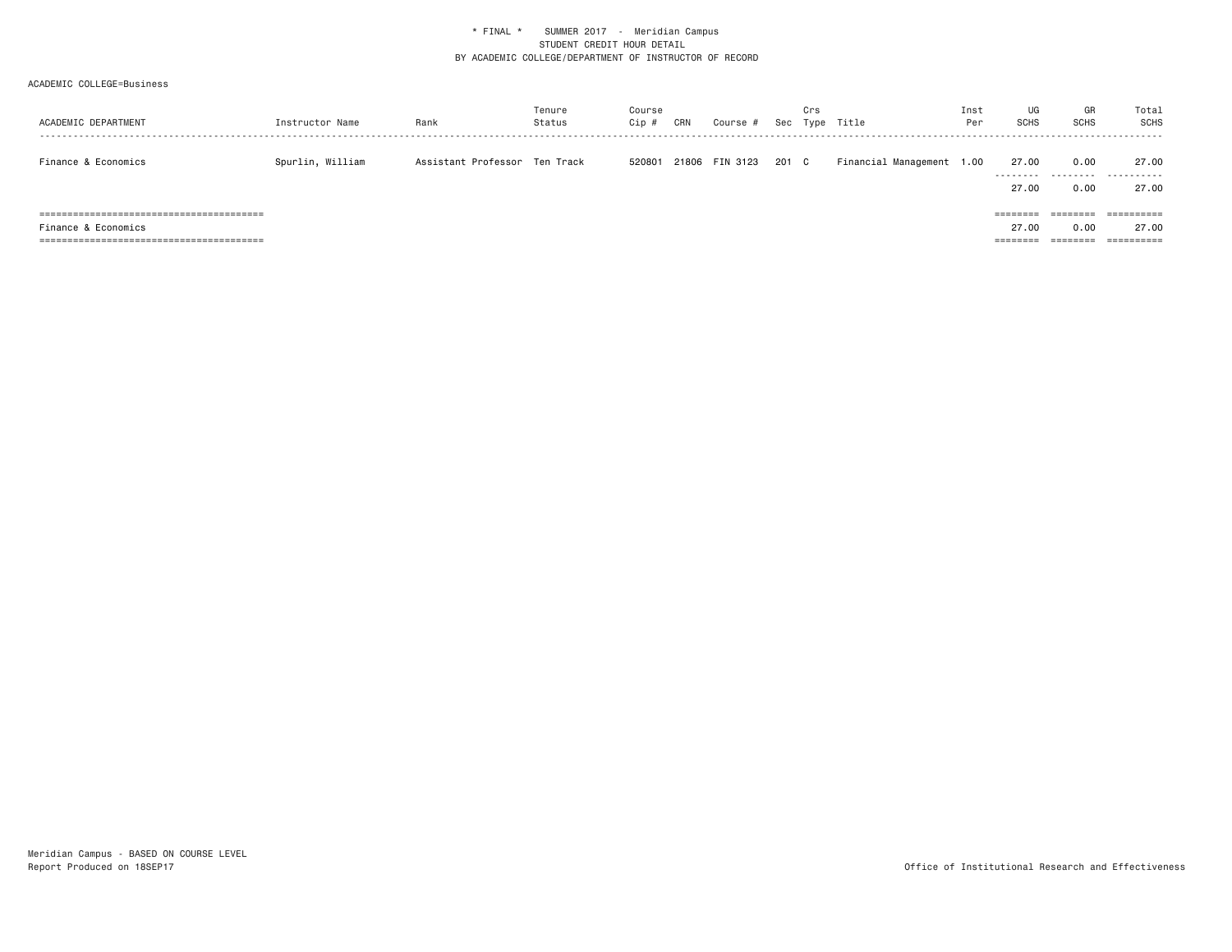| ACADEMIC DEPARTMENT | Instructor Name  | Rank                          | Tenure<br>Status | Course<br>Cip # | CRN   | Course # | Sec   | Crs | Type Title                | Inst<br>Per | UG<br><b>SCHS</b> | GR<br><b>SCHS</b> | Total<br>SCHS         |
|---------------------|------------------|-------------------------------|------------------|-----------------|-------|----------|-------|-----|---------------------------|-------------|-------------------|-------------------|-----------------------|
| Finance & Economics | Spurlin, William | Assistant Professor Ten Track |                  | 520801          | 21806 | FIN 3123 | 201 C |     | Financial Management 1.00 |             | 27.00<br>.        | 0.00              | 27.00<br>.            |
|                     |                  |                               |                  |                 |       |          |       |     |                           |             | 27.00             | 0.00              | 27.00                 |
|                     |                  |                               |                  |                 |       |          |       |     |                           |             | $=$ = = = = = = = | ========          |                       |
| Finance & Economics |                  |                               |                  |                 |       |          |       |     |                           |             | 27.00             | 0.00              | 27.00                 |
|                     |                  |                               |                  |                 |       |          |       |     |                           |             | ========          | ========          | $=$ = = = = = = = = = |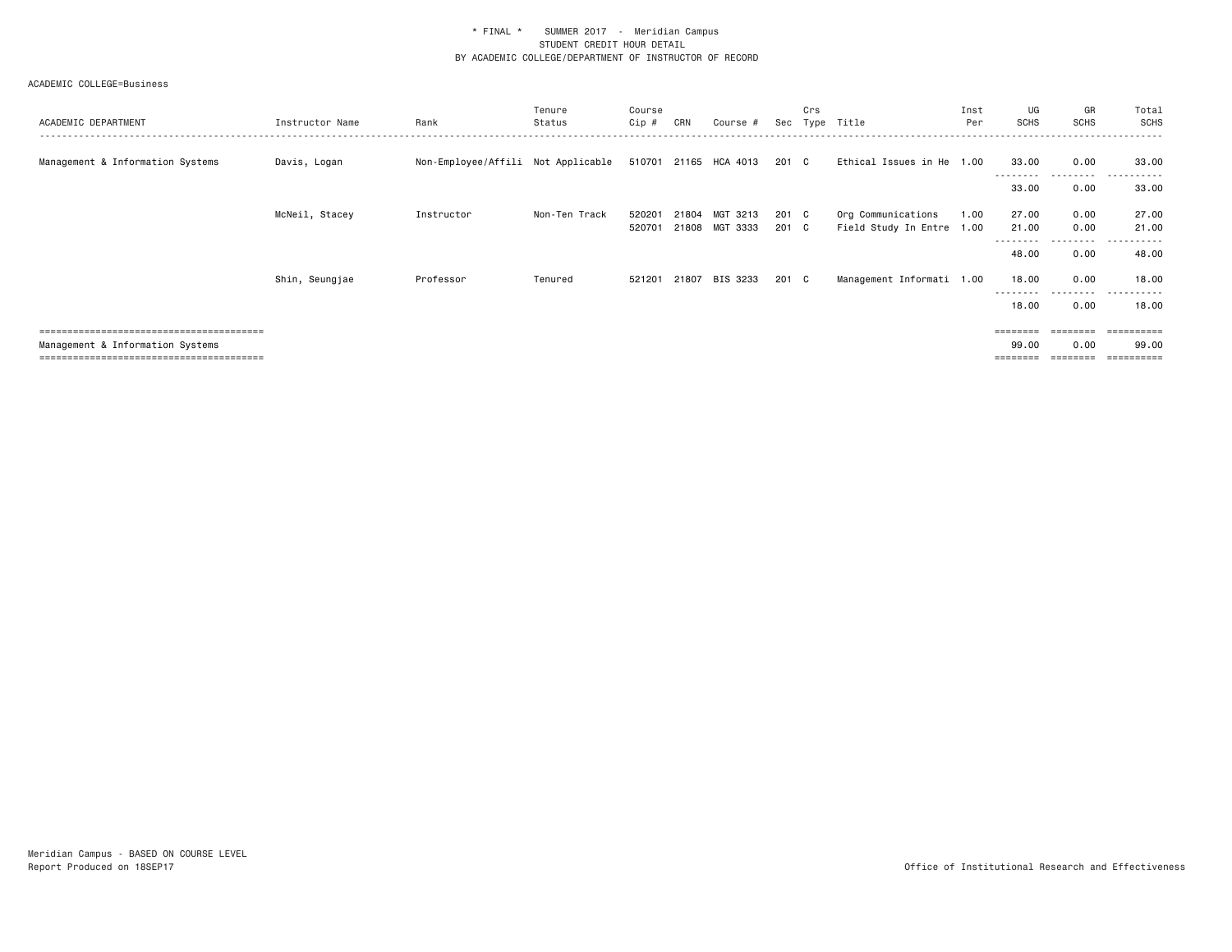| ACADEMIC DEPARTMENT                | Instructor Name | Rank                               | Tenure<br>Status | Course<br>Cip # | CRN   | Course #              |       | Crs          | Sec Type Title            | Inst<br>Per | UG<br><b>SCHS</b>  | GR<br><b>SCHS</b> | Total<br>SCHS                      |
|------------------------------------|-----------------|------------------------------------|------------------|-----------------|-------|-----------------------|-------|--------------|---------------------------|-------------|--------------------|-------------------|------------------------------------|
| Management & Information Systems   | Davis, Logan    | Non-Employee/Affili Not Applicable |                  |                 |       | 510701 21165 HCA 4013 | 201 C |              | Ethical Issues in He 1.00 |             | 33.00<br>--------- | 0.00<br>.         | 33.00<br>.<br>. <u>.</u> .         |
|                                    |                 |                                    |                  |                 |       |                       |       |              |                           |             | 33.00              | 0.00              | 33.00                              |
|                                    | McNeil, Stacey  | Instructor                         | Non-Ten Track    | 520201          | 21804 | MGT 3213              | 201 C |              | Org Communications        | 1.00        | 27.00              | 0.00              | 27.00                              |
|                                    |                 |                                    |                  | 520701          |       | 21808 MGT 3333        | 201   | $\mathbf{C}$ | Field Study In Entre 1.00 |             | 21.00<br>--------  | 0.00<br>--------- | 21.00<br>. <u>.</u> .<br>$- - - -$ |
|                                    |                 |                                    |                  |                 |       |                       |       |              |                           |             | 48.00              | 0.00              | 48.00                              |
|                                    | Shin, Seungjae  | Professor                          | Tenured          | 521201          |       | 21807 BIS 3233        | 201 C |              | Management Informati 1.00 |             | 18.00              | 0.00<br>.         | 18.00                              |
|                                    |                 |                                    |                  |                 |       |                       |       |              |                           |             | 18.00              | 0.00              | 18.00                              |
| ,,,,,,,,,,,,,,,,,,,,,,,,,,,,,,,,,, |                 |                                    |                  |                 |       |                       |       |              |                           |             |                    |                   |                                    |
| Management & Information Systems   |                 |                                    |                  |                 |       |                       |       |              |                           |             | 99.00              | 0.00              | 99.00                              |
|                                    |                 |                                    |                  |                 |       |                       |       |              |                           |             |                    |                   |                                    |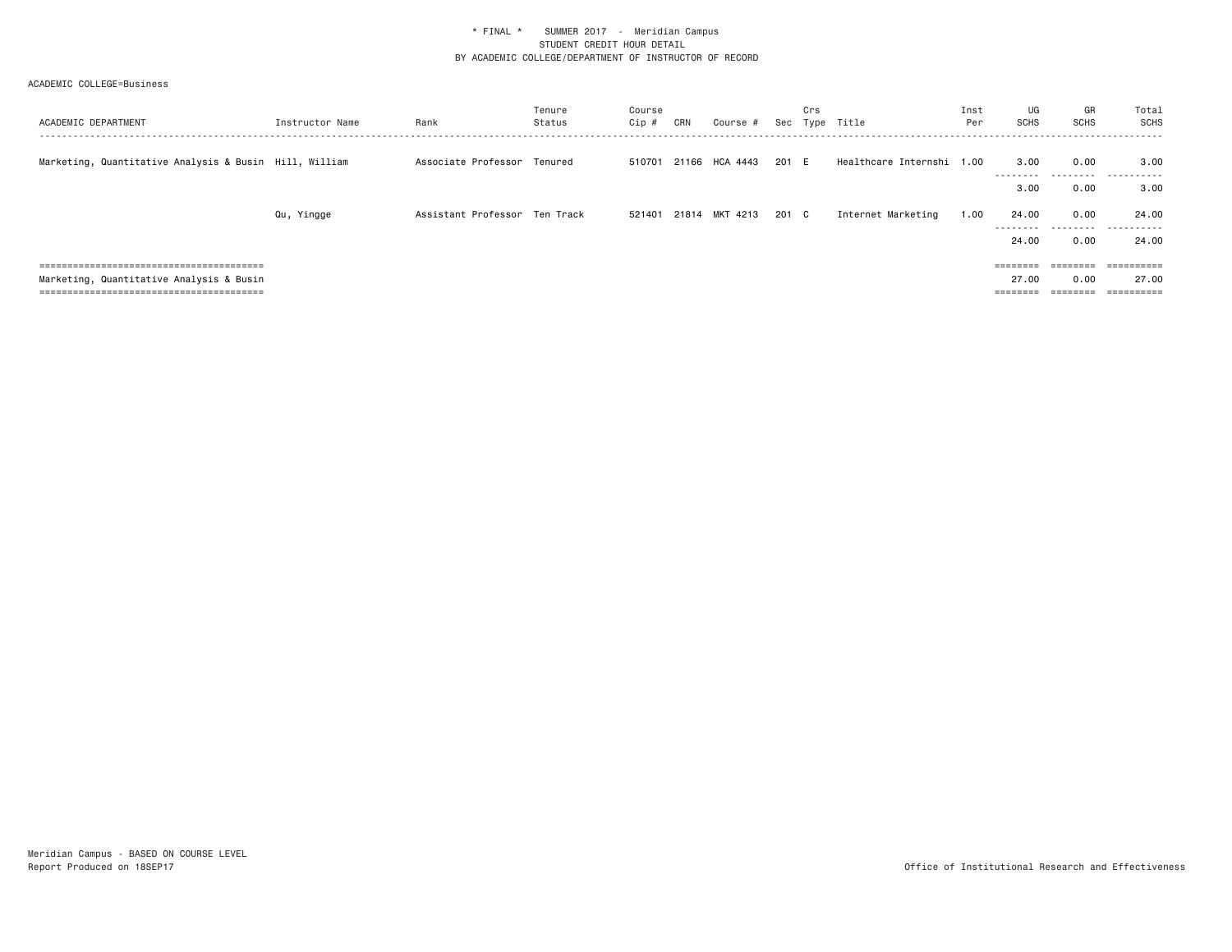| ACADEMIC DEPARTMENT                                    | Instructor Name | Rank                          | Tenure<br>Status | Course<br>Cip # | CRN | Course #              |       | Crs | Sec Type Title            | Inst<br>Per | UG<br>SCHS                 | GR<br>SCHS        | Total<br><b>SCHS</b>                                                                                                                                                                                                                                                                                                                                                                                                                                                                   |
|--------------------------------------------------------|-----------------|-------------------------------|------------------|-----------------|-----|-----------------------|-------|-----|---------------------------|-------------|----------------------------|-------------------|----------------------------------------------------------------------------------------------------------------------------------------------------------------------------------------------------------------------------------------------------------------------------------------------------------------------------------------------------------------------------------------------------------------------------------------------------------------------------------------|
| Marketing, Quantitative Analysis & Busin Hill, William |                 | Associate Professor Tenured   |                  | 510701          |     | 21166 HCA 4443        | 201 E |     | Healthcare Internshi 1.00 |             | 3,00<br>---------          | 0.00<br>--------- | 3.00<br>.                                                                                                                                                                                                                                                                                                                                                                                                                                                                              |
|                                                        |                 |                               |                  |                 |     |                       |       |     |                           |             | 3,00                       | 0.00              | 3.00                                                                                                                                                                                                                                                                                                                                                                                                                                                                                   |
|                                                        | Qu, Yingge      | Assistant Professor Ten Track |                  |                 |     | 521401 21814 MKT 4213 | 201 C |     | Internet Marketing        | 1.00        | 24.00<br>---------         | 0.00<br>.         | 24.00<br>.                                                                                                                                                                                                                                                                                                                                                                                                                                                                             |
|                                                        |                 |                               |                  |                 |     |                       |       |     |                           |             | 24.00                      | 0.00              | 24.00                                                                                                                                                                                                                                                                                                                                                                                                                                                                                  |
|                                                        |                 |                               |                  |                 |     |                       |       |     |                           |             | ========                   | ========          | $\begin{array}{cccccccccc} \multicolumn{2}{c}{} & \multicolumn{2}{c}{} & \multicolumn{2}{c}{} & \multicolumn{2}{c}{} & \multicolumn{2}{c}{} & \multicolumn{2}{c}{} & \multicolumn{2}{c}{} & \multicolumn{2}{c}{} & \multicolumn{2}{c}{} & \multicolumn{2}{c}{} & \multicolumn{2}{c}{} & \multicolumn{2}{c}{} & \multicolumn{2}{c}{} & \multicolumn{2}{c}{} & \multicolumn{2}{c}{} & \multicolumn{2}{c}{} & \multicolumn{2}{c}{} & \multicolumn{2}{c}{} & \multicolumn{2}{c}{} & \mult$ |
| Marketing, Quantitative Analysis & Busin               |                 |                               |                  |                 |     |                       |       |     |                           |             | 27.00<br>$=$ = = = = = = = | 0.00<br>________  | 27.00<br>==========                                                                                                                                                                                                                                                                                                                                                                                                                                                                    |
|                                                        |                 |                               |                  |                 |     |                       |       |     |                           |             |                            |                   |                                                                                                                                                                                                                                                                                                                                                                                                                                                                                        |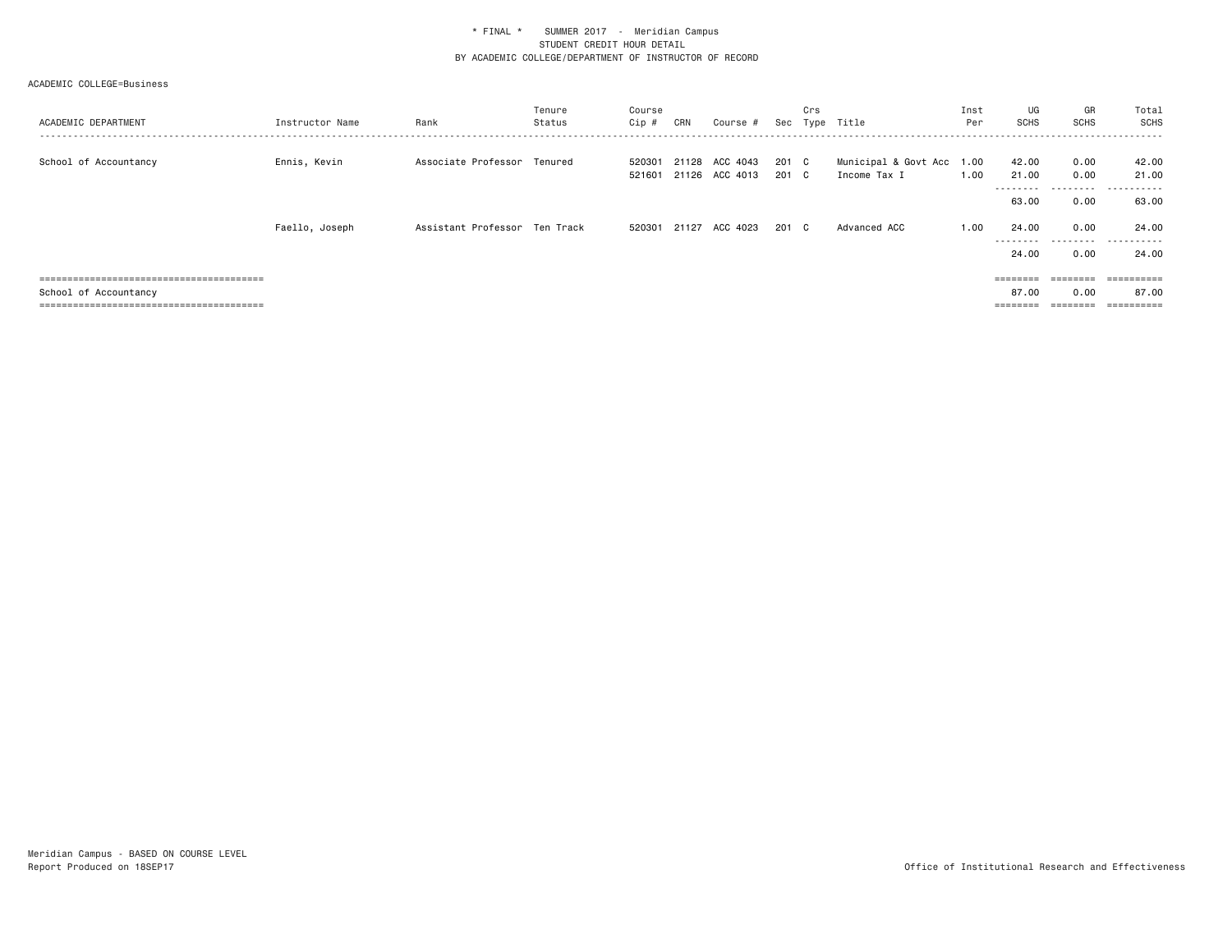| ACADEMIC DEPARTMENT   | Instructor Name | Rank                          | Tenure<br>Status | Course<br>Cip #  | CRN   | Course #                         |                | Crs | Sec Type Title                            | Inst<br>Per | UG<br><b>SCHS</b>  | GR<br>SCHS   | Total<br>SCHS         |
|-----------------------|-----------------|-------------------------------|------------------|------------------|-------|----------------------------------|----------------|-----|-------------------------------------------|-------------|--------------------|--------------|-----------------------|
| School of Accountancy | Ennis, Kevin    | Associate Professor Tenured   |                  | 520301<br>521601 |       | 21128 ACC 4043<br>21126 ACC 4013 | 201 C<br>201 C |     | Municipal & Govt Acc 1.00<br>Income Tax I | 1.00        | 42.00<br>21.00     | 0.00<br>0.00 | 42.00<br>21.00        |
|                       |                 |                               |                  |                  |       |                                  |                |     |                                           |             | 63.00              | .<br>0.00    | -------<br>.<br>63.00 |
|                       | Faello, Joseph  | Assistant Professor Ten Track |                  | 520301           | 21127 | ACC 4023                         | 201 C          |     | Advanced ACC                              | 1.00        | 24.00              | 0.00         | 24.00                 |
|                       |                 |                               |                  |                  |       |                                  |                |     |                                           |             | ---------<br>24.00 | .<br>0.00    | .<br>24.00            |
|                       |                 |                               |                  |                  |       |                                  |                |     |                                           |             | $=$ = = = = = = =  | ========     | ==========            |
| School of Accountancy |                 |                               |                  |                  |       |                                  |                |     |                                           |             | 87.00<br>======    | 0.00         | 87.00<br>==========   |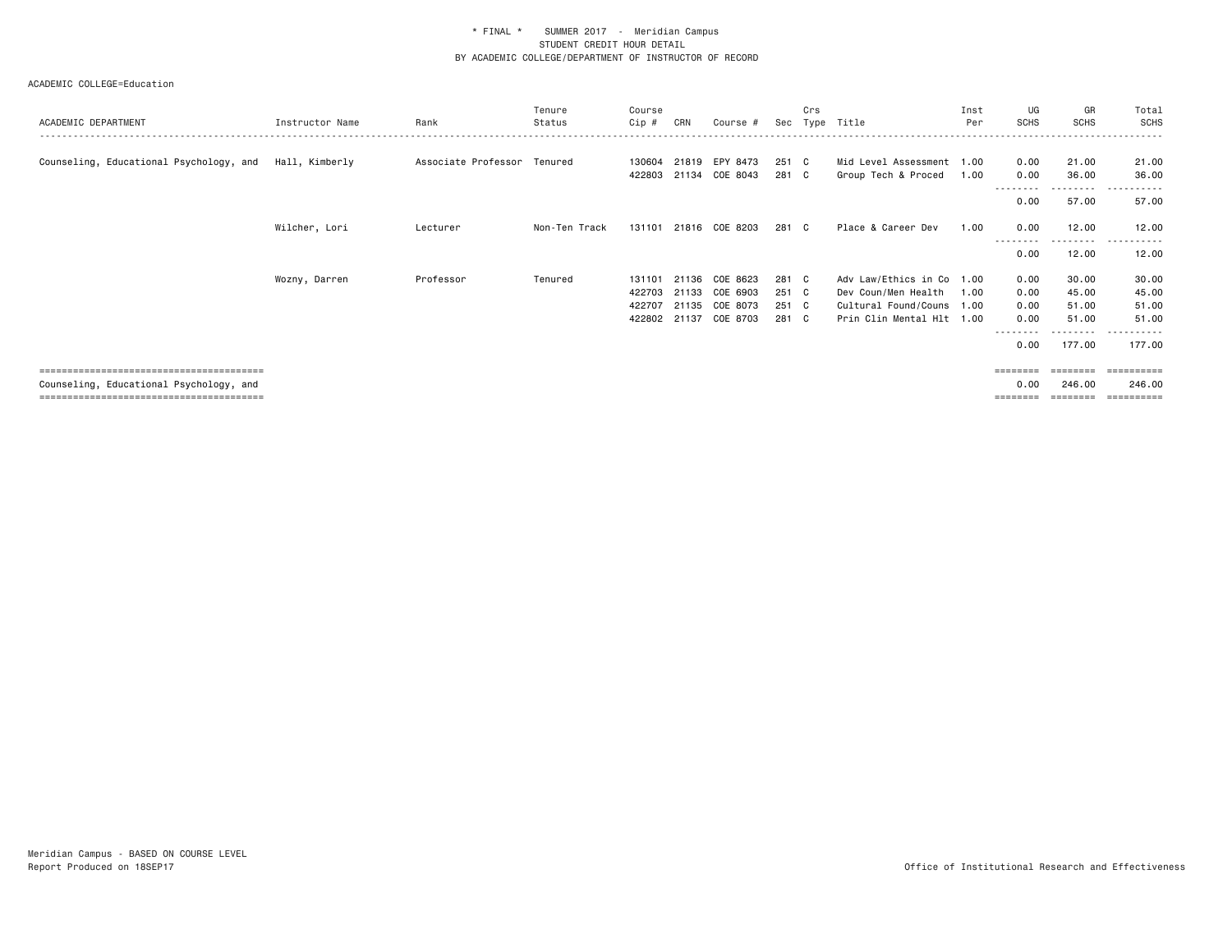|                                         |                 |                             | Tenure        | Course |       |                |       | Crs          |                           | Inst | UG                | GR                 | Total                      |
|-----------------------------------------|-----------------|-----------------------------|---------------|--------|-------|----------------|-------|--------------|---------------------------|------|-------------------|--------------------|----------------------------|
| ACADEMIC DEPARTMENT                     | Instructor Name | Rank                        | Status        | Cip #  | CRN   | Course #       | Sec   |              | Type Title                | Per  | <b>SCHS</b>       | <b>SCHS</b>        | <b>SCHS</b>                |
|                                         |                 |                             |               |        |       |                |       |              |                           |      |                   |                    |                            |
| Counseling, Educational Psychology, and | Hall, Kimberly  | Associate Professor Tenured |               | 130604 |       | 21819 EPY 8473 | 251   | $\mathbf{C}$ | Mid Level Assessment 1.00 |      | 0.00              | 21.00              | 21.00                      |
|                                         |                 |                             |               | 422803 | 21134 | COE 8043       | 281 C |              | Group Tech & Proced       | 1.00 | 0.00              | 36.00              | 36.00                      |
|                                         |                 |                             |               |        |       |                |       |              |                           |      | --------<br>0.00  | ---------<br>57.00 | ------<br>$- - -$<br>57.00 |
|                                         |                 |                             |               |        |       |                |       |              |                           |      |                   |                    |                            |
|                                         | Wilcher, Lori   | Lecturer                    | Non-Ten Track | 131101 |       | 21816 COE 8203 | 281 C |              | Place & Career Dev        | 1.00 | 0.00              | 12.00              | 12.00                      |
|                                         |                 |                             |               |        |       |                |       |              |                           |      | 0.00              | ---------<br>12.00 | 12.00                      |
|                                         | Wozny, Darren   | Professor                   | Tenured       | 131101 | 21136 | COE 8623       | 281 C |              | Adv Law/Ethics in Co 1.00 |      | 0.00              | 30.00              | 30.00                      |
|                                         |                 |                             |               | 422703 | 21133 | COE 6903       | 251 C |              | Dev Coun/Men Health       | 1.00 | 0.00              | 45.00              | 45.00                      |
|                                         |                 |                             |               | 422707 | 21135 | COE 8073       | 251 C |              | Cultural Found/Couns 1.00 |      | 0.00              | 51.00              | 51.00                      |
|                                         |                 |                             |               | 422802 |       | 21137 COE 8703 | 281 C |              | Prin Clin Mental Hlt 1.00 |      | 0.00              | 51.00              | 51.00                      |
|                                         |                 |                             |               |        |       |                |       |              |                           |      |                   |                    | ------                     |
|                                         |                 |                             |               |        |       |                |       |              |                           |      | 0.00              | 177.00             | 177.00                     |
|                                         |                 |                             |               |        |       |                |       |              |                           |      | $=$ = = = = = = = |                    | ==========                 |
| Counseling, Educational Psychology, and |                 |                             |               |        |       |                |       |              |                           |      | 0.00              | 246,00             | 246.00                     |
|                                         |                 |                             |               |        |       |                |       |              |                           |      | ========          | $=$ = = = = = = =  | ==========                 |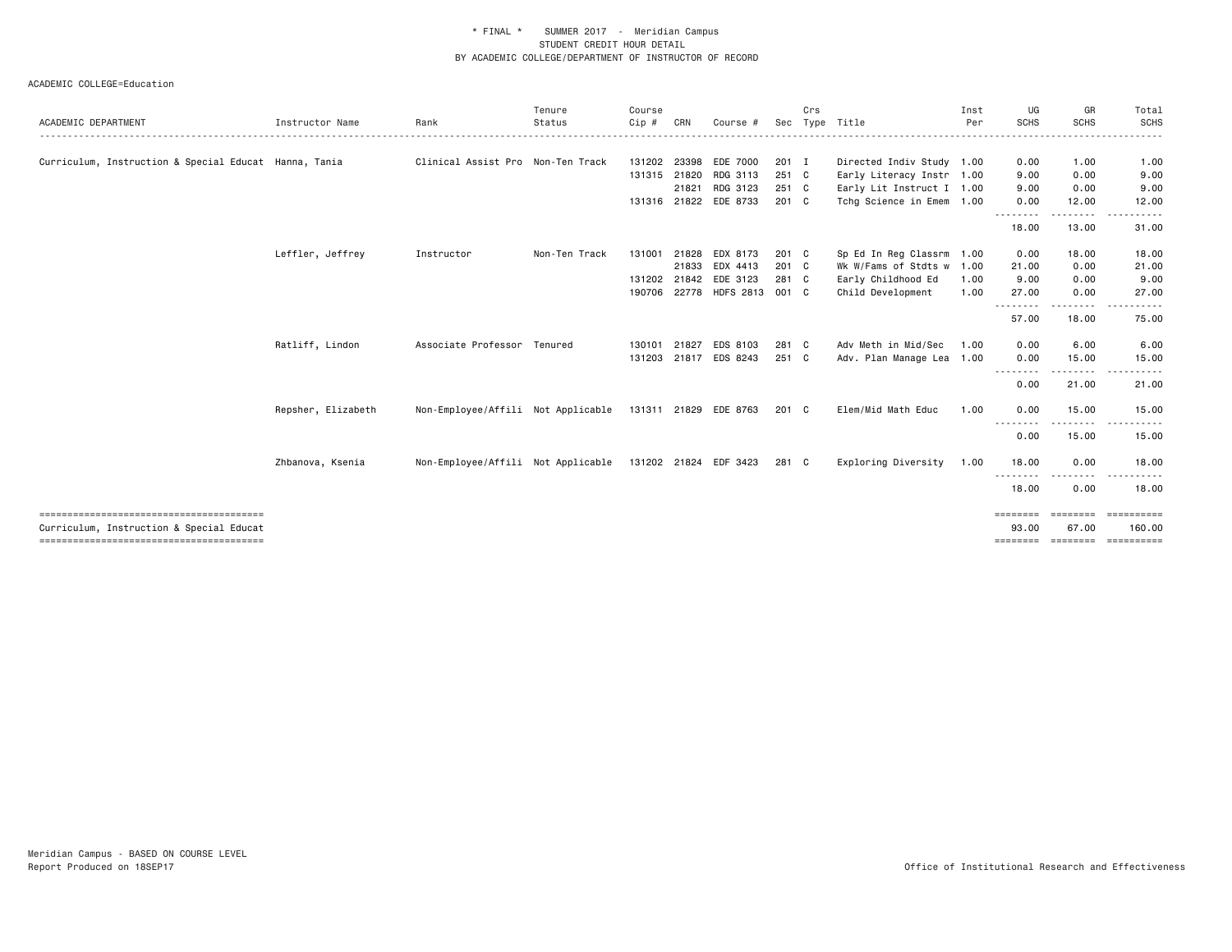| Instructor Name                                       | Rank       | Tenure<br>Status | Course<br>Cip #                                                                                        | CRN                                | Course #                         |                                                                                                                           | Crs |                                                                                                                                 | Inst<br>Per | UG<br><b>SCHS</b>                                                                                                                                                             | GR<br><b>SCHS</b>                       | Total<br>SCHS                                                                                                                                                                                 |
|-------------------------------------------------------|------------|------------------|--------------------------------------------------------------------------------------------------------|------------------------------------|----------------------------------|---------------------------------------------------------------------------------------------------------------------------|-----|---------------------------------------------------------------------------------------------------------------------------------|-------------|-------------------------------------------------------------------------------------------------------------------------------------------------------------------------------|-----------------------------------------|-----------------------------------------------------------------------------------------------------------------------------------------------------------------------------------------------|
|                                                       |            |                  |                                                                                                        |                                    |                                  |                                                                                                                           |     |                                                                                                                                 |             |                                                                                                                                                                               |                                         |                                                                                                                                                                                               |
| Curriculum, Instruction & Special Educat Hanna, Tania |            |                  |                                                                                                        | 23398                              | EDE 7000                         |                                                                                                                           |     |                                                                                                                                 |             | 0.00                                                                                                                                                                          | 1.00                                    | 1.00                                                                                                                                                                                          |
|                                                       |            |                  |                                                                                                        |                                    | RDG 3113                         |                                                                                                                           |     |                                                                                                                                 |             | 9.00                                                                                                                                                                          | 0.00                                    | 9.00                                                                                                                                                                                          |
|                                                       |            |                  |                                                                                                        | 21821                              | RDG 3123                         |                                                                                                                           |     |                                                                                                                                 |             | 9.00                                                                                                                                                                          | 0.00                                    | 9.00                                                                                                                                                                                          |
|                                                       |            |                  |                                                                                                        |                                    |                                  |                                                                                                                           |     |                                                                                                                                 |             | 0.00                                                                                                                                                                          | 12.00                                   | 12.00                                                                                                                                                                                         |
|                                                       |            |                  |                                                                                                        |                                    |                                  |                                                                                                                           |     |                                                                                                                                 |             | 18.00                                                                                                                                                                         | 13.00                                   | 31.00                                                                                                                                                                                         |
| Leffler, Jeffrey                                      | Instructor | Non-Ten Track    | 131001                                                                                                 | 21828                              | EDX 8173                         |                                                                                                                           |     | Sp Ed In Reg Classrm                                                                                                            | 1.00        | 0.00                                                                                                                                                                          | 18.00                                   | 18.00                                                                                                                                                                                         |
|                                                       |            |                  |                                                                                                        | 21833                              | EDX 4413                         |                                                                                                                           |     |                                                                                                                                 |             | 21.00                                                                                                                                                                         | 0.00                                    | 21.00                                                                                                                                                                                         |
|                                                       |            |                  |                                                                                                        |                                    |                                  |                                                                                                                           |     | Early Childhood Ed                                                                                                              | 1.00        | 9.00                                                                                                                                                                          | 0.00                                    | 9.00                                                                                                                                                                                          |
|                                                       |            |                  |                                                                                                        |                                    |                                  |                                                                                                                           |     | Child Development                                                                                                               | 1.00        | 27.00                                                                                                                                                                         | 0.00                                    | 27.00                                                                                                                                                                                         |
|                                                       |            |                  |                                                                                                        |                                    |                                  |                                                                                                                           |     |                                                                                                                                 |             | 57.00                                                                                                                                                                         | 18.00                                   | 75.00                                                                                                                                                                                         |
| Ratliff, Lindon                                       |            |                  | 130101                                                                                                 | 21827                              | EDS 8103                         |                                                                                                                           |     | Adv Meth in Mid/Sec                                                                                                             | 1.00        | 0.00                                                                                                                                                                          | 6.00                                    | 6,00                                                                                                                                                                                          |
|                                                       |            |                  |                                                                                                        |                                    |                                  |                                                                                                                           |     |                                                                                                                                 |             | 0.00                                                                                                                                                                          | 15.00                                   | 15.00                                                                                                                                                                                         |
|                                                       |            |                  |                                                                                                        |                                    |                                  |                                                                                                                           |     |                                                                                                                                 |             | 0.00                                                                                                                                                                          | 21.00                                   | 21.00                                                                                                                                                                                         |
| Repsher, Elizabeth                                    |            |                  |                                                                                                        |                                    |                                  |                                                                                                                           |     | Elem/Mid Math Educ                                                                                                              | 1.00        | 0.00                                                                                                                                                                          | 15.00                                   | 15.00                                                                                                                                                                                         |
|                                                       |            |                  |                                                                                                        |                                    |                                  |                                                                                                                           |     |                                                                                                                                 |             | 0.00                                                                                                                                                                          | 15.00                                   | 15.00                                                                                                                                                                                         |
| Zhbanova, Ksenia                                      |            |                  |                                                                                                        |                                    |                                  |                                                                                                                           |     | Exploring Diversity                                                                                                             | 1.00        | 18.00                                                                                                                                                                         | 0.00                                    | 18.00                                                                                                                                                                                         |
|                                                       |            |                  |                                                                                                        |                                    |                                  |                                                                                                                           |     |                                                                                                                                 |             | 18.00                                                                                                                                                                         | 0.00                                    | 18.00                                                                                                                                                                                         |
|                                                       |            |                  |                                                                                                        |                                    |                                  |                                                                                                                           |     |                                                                                                                                 |             | 93.00                                                                                                                                                                         | ========<br>67.00                       | ==========<br>160.00                                                                                                                                                                          |
|                                                       |            |                  | Clinical Assist Pro Non-Ten Track<br>Associate Professor Tenured<br>Non-Employee/Affili Not Applicable | Non-Employee/Affili Not Applicable | 131202<br>131315 21820<br>190706 | 131316 21822 EDE 8733<br>131202 21842 EDE 3123<br>131203 21817 EDS 8243<br>131311 21829 EDE 8763<br>131202 21824 EDF 3423 |     | Sec<br>201 I<br>251 C<br>251 C<br>201 C<br>201 C<br>201 C<br>281 C<br>22778 HDFS 2813 001 C<br>281 C<br>251 C<br>201 C<br>281 C | Type Title  | Directed Indiv Study 1.00<br>Early Literacy Instr 1.00<br>Early Lit Instruct I 1.00<br>Tchg Science in Emem 1.00<br>Wk W/Fams of Stdts w<br>1.00<br>Adv. Plan Manage Lea 1.00 | <u>.</u><br>- - - - - - - -<br>======== | -----<br>$\frac{1}{2} \left( \frac{1}{2} \right) \left( \frac{1}{2} \right) \left( \frac{1}{2} \right) \left( \frac{1}{2} \right) \left( \frac{1}{2} \right) \left( \frac{1}{2} \right)$<br>. |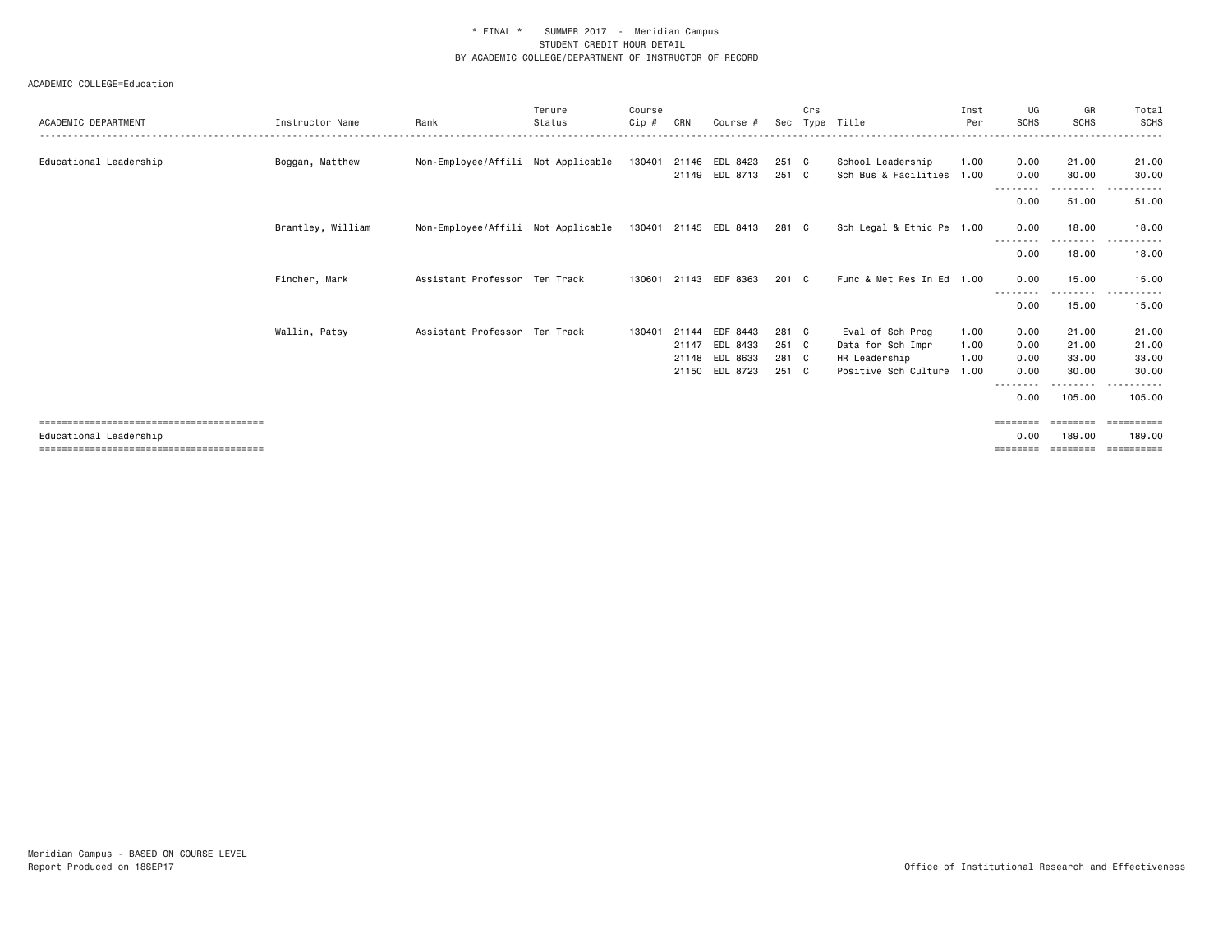| ACADEMIC DEPARTMENT    | Instructor Name   | Rank                               | Tenure<br>Status | Course<br>Cip # | CRN   | Course #                         | Sec            | Crs | Type Title                                     | Inst<br>Per | UG<br><b>SCHS</b>         | GR<br><b>SCHS</b>  | Total<br>SCHS                      |
|------------------------|-------------------|------------------------------------|------------------|-----------------|-------|----------------------------------|----------------|-----|------------------------------------------------|-------------|---------------------------|--------------------|------------------------------------|
| Educational Leadership | Boggan, Matthew   | Non-Employee/Affili Not Applicable |                  | 130401          |       | 21146 EDL 8423<br>21149 EDL 8713 | 251 C<br>251 C |     | School Leadership<br>Sch Bus & Facilities 1.00 | 1.00        | 0.00<br>0.00              | 21.00<br>30.00     | 21.00<br>30.00                     |
|                        |                   |                                    |                  |                 |       |                                  |                |     |                                                |             | - - - - - - - - -<br>0.00 | ---------<br>51.00 | $\sim$ $\sim$ $\sim$<br>.<br>51.00 |
|                        | Brantley, William | Non-Employee/Affili Not Applicable |                  |                 |       | 130401 21145 EDL 8413            | 281 C          |     | Sch Legal & Ethic Pe 1.00                      |             | 0.00                      | 18.00              | 18.00                              |
|                        |                   |                                    |                  |                 |       |                                  |                |     |                                                |             | - - - - - - - -<br>0.00   | 18.00              | 18.00                              |
|                        | Fincher, Mark     | Assistant Professor Ten Track      |                  | 130601          |       | 21143 EDF 8363                   | 201 C          |     | Func & Met Res In Ed 1.00                      |             | 0.00                      | 15.00              | 15.00                              |
|                        |                   |                                    |                  |                 |       |                                  |                |     |                                                |             | 0.00                      | --------<br>15.00  | .<br>15.00                         |
|                        | Wallin, Patsy     | Assistant Professor Ten Track      |                  | 130401          | 21144 | EDF 8443                         | 281 C          |     | Eval of Sch Prog                               | 1.00        | 0.00                      | 21.00              | 21.00                              |
|                        |                   |                                    |                  |                 | 21147 | EDL 8433                         | 251 C          |     | Data for Sch Impr                              | 1.00        | 0.00                      | 21.00              | 21.00                              |
|                        |                   |                                    |                  |                 |       | 21148 EDL 8633                   | 281 C          |     | HR Leadership                                  | 1.00        | 0.00                      | 33.00              | 33.00                              |
|                        |                   |                                    |                  |                 |       | 21150 EDL 8723                   | 251 C          |     | Positive Sch Culture                           | 1.00        | 0.00                      | 30.00              | 30.00                              |
|                        |                   |                                    |                  |                 |       |                                  |                |     |                                                |             | 0.00                      | 105.00             | 105.00                             |
|                        |                   |                                    |                  |                 |       |                                  |                |     |                                                |             |                           |                    | ==========                         |
| Educational Leadership |                   |                                    |                  |                 |       |                                  |                |     |                                                |             | 0.00<br>========          | 189,00<br>======== | 189.00<br>-----------              |